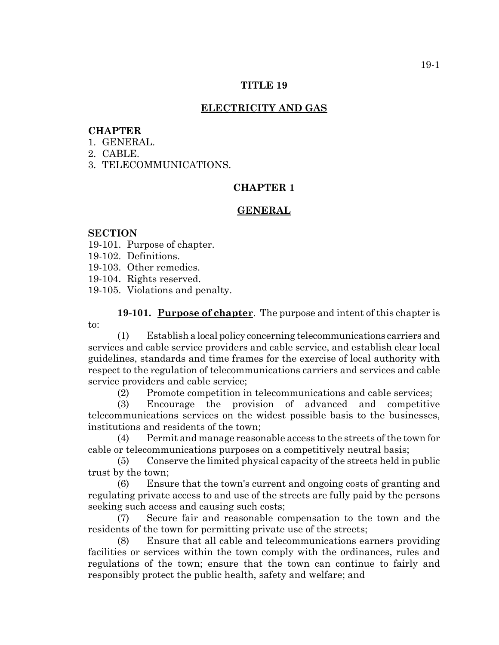#### **TITLE 19**

## **ELECTRICITY AND GAS**

### **CHAPTER**

- 1. GENERAL.
- 2. CABLE.
- 3. TELECOMMUNICATIONS.

## **CHAPTER 1**

#### **GENERAL**

#### **SECTION**

- 19-101. Purpose of chapter.
- 19-102. Definitions.
- 19-103. Other remedies.
- 19-104. Rights reserved.
- 19-105. Violations and penalty.

**19-101. Purpose of chapter**. The purpose and intent of this chapter is to:

(1) Establish a local policy concerning telecommunications carriers and services and cable service providers and cable service, and establish clear local guidelines, standards and time frames for the exercise of local authority with respect to the regulation of telecommunications carriers and services and cable service providers and cable service;

(2) Promote competition in telecommunications and cable services;

(3) Encourage the provision of advanced and competitive telecommunications services on the widest possible basis to the businesses, institutions and residents of the town;

(4) Permit and manage reasonable access to the streets of the town for cable or telecommunications purposes on a competitively neutral basis;

(5) Conserve the limited physical capacity of the streets held in public trust by the town;

(6) Ensure that the town's current and ongoing costs of granting and regulating private access to and use of the streets are fully paid by the persons seeking such access and causing such costs;

(7) Secure fair and reasonable compensation to the town and the residents of the town for permitting private use of the streets;

(8) Ensure that all cable and telecommunications earners providing facilities or services within the town comply with the ordinances, rules and regulations of the town; ensure that the town can continue to fairly and responsibly protect the public health, safety and welfare; and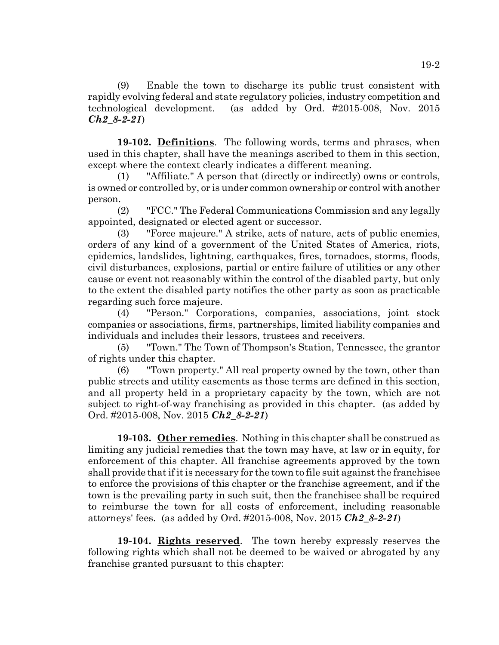(9) Enable the town to discharge its public trust consistent with rapidly evolving federal and state regulatory policies, industry competition and technological development. (as added by Ord. #2015-008, Nov. 2015 *Ch2\_8-2-21*)

**19-102. Definitions**. The following words, terms and phrases, when used in this chapter, shall have the meanings ascribed to them in this section, except where the context clearly indicates a different meaning.

(1) "Affiliate." A person that (directly or indirectly) owns or controls, is owned or controlled by, or is under common ownership or control with another person.

(2) "FCC." The Federal Communications Commission and any legally appointed, designated or elected agent or successor.

(3) "Force majeure." A strike, acts of nature, acts of public enemies, orders of any kind of a government of the United States of America, riots, epidemics, landslides, lightning, earthquakes, fires, tornadoes, storms, floods, civil disturbances, explosions, partial or entire failure of utilities or any other cause or event not reasonably within the control of the disabled party, but only to the extent the disabled party notifies the other party as soon as practicable regarding such force majeure.

(4) "Person." Corporations, companies, associations, joint stock companies or associations, firms, partnerships, limited liability companies and individuals and includes their lessors, trustees and receivers.

(5) "Town." The Town of Thompson's Station, Tennessee, the grantor of rights under this chapter.

(6) "Town property." All real property owned by the town, other than public streets and utility easements as those terms are defined in this section, and all property held in a proprietary capacity by the town, which are not subject to right-of-way franchising as provided in this chapter. (as added by Ord. #2015-008, Nov. 2015 *Ch2\_8-2-21*)

**19-103. Other remedies**. Nothing in this chapter shall be construed as limiting any judicial remedies that the town may have, at law or in equity, for enforcement of this chapter. All franchise agreements approved by the town shall provide that if it is necessary for the town to file suit against the franchisee to enforce the provisions of this chapter or the franchise agreement, and if the town is the prevailing party in such suit, then the franchisee shall be required to reimburse the town for all costs of enforcement, including reasonable attorneys' fees. (as added by Ord. #2015-008, Nov. 2015 *Ch2\_8-2-21*)

**19-104. Rights reserved**. The town hereby expressly reserves the following rights which shall not be deemed to be waived or abrogated by any franchise granted pursuant to this chapter: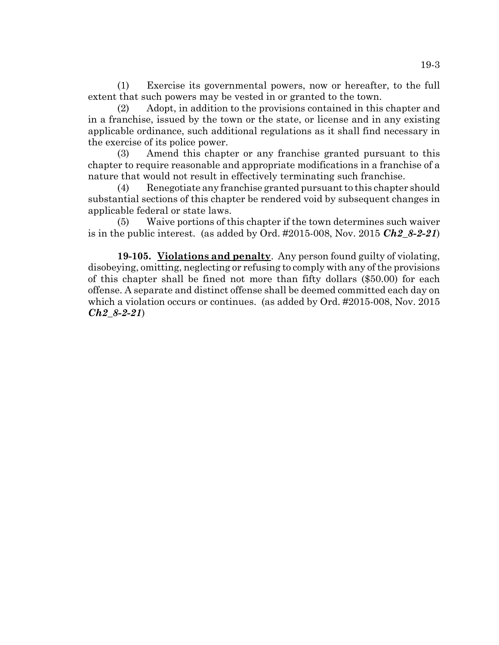(1) Exercise its governmental powers, now or hereafter, to the full extent that such powers may be vested in or granted to the town.

(2) Adopt, in addition to the provisions contained in this chapter and in a franchise, issued by the town or the state, or license and in any existing applicable ordinance, such additional regulations as it shall find necessary in the exercise of its police power.

(3) Amend this chapter or any franchise granted pursuant to this chapter to require reasonable and appropriate modifications in a franchise of a nature that would not result in effectively terminating such franchise.

(4) Renegotiate any franchise granted pursuant to this chapter should substantial sections of this chapter be rendered void by subsequent changes in applicable federal or state laws.

(5) Waive portions of this chapter if the town determines such waiver is in the public interest. (as added by Ord.  $\#2015-008$ , Nov. 2015 *Ch2 8-2-21*)

**19-105. Violations and penalty**. Any person found guilty of violating, disobeying, omitting, neglecting or refusing to comply with any of the provisions of this chapter shall be fined not more than fifty dollars (\$50.00) for each offense. A separate and distinct offense shall be deemed committed each day on which a violation occurs or continues. (as added by Ord. #2015-008, Nov. 2015 *Ch2\_8-2-21*)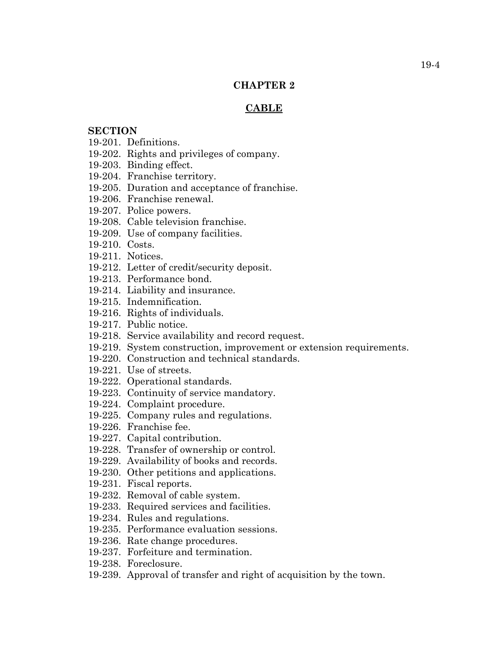## **CHAPTER 2**

## **CABLE**

# **SECTION**

- 19-201. Definitions.
- 19-202. Rights and privileges of company.
- 19-203. Binding effect.
- 19-204. Franchise territory.
- 19-205. Duration and acceptance of franchise.
- 19-206. Franchise renewal.
- 19-207. Police powers.
- 19-208. Cable television franchise.
- 19-209. Use of company facilities.
- 19-210. Costs.
- 19-211. Notices.
- 19-212. Letter of credit/security deposit.
- 19-213. Performance bond.
- 19-214. Liability and insurance.
- 19-215. Indemnification.
- 19-216. Rights of individuals.
- 19-217. Public notice.
- 19-218. Service availability and record request.
- 19-219. System construction, improvement or extension requirements.
- 19-220. Construction and technical standards.
- 19-221. Use of streets.
- 19-222. Operational standards.
- 19-223. Continuity of service mandatory.
- 19-224. Complaint procedure.
- 19-225. Company rules and regulations.
- 19-226. Franchise fee.
- 19-227. Capital contribution.
- 19-228. Transfer of ownership or control.
- 19-229. Availability of books and records.
- 19-230. Other petitions and applications.
- 19-231. Fiscal reports.
- 19-232. Removal of cable system.
- 19-233. Required services and facilities.
- 19-234. Rules and regulations.
- 19-235. Performance evaluation sessions.
- 19-236. Rate change procedures.
- 19-237. Forfeiture and termination.
- 19-238. Foreclosure.
- 19-239. Approval of transfer and right of acquisition by the town.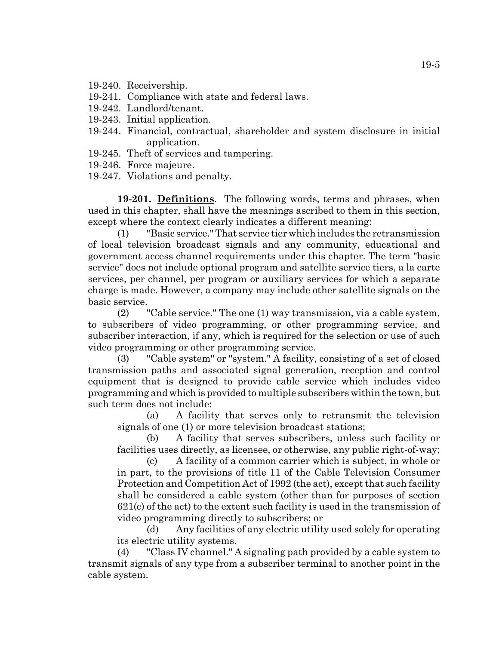- 19-240. Receivership.
- 19-241. Compliance with state and federal laws.
- 19-242. Landlord/tenant.
- 19-243. Initial application.
- 19-244. Financial, contractual, shareholder and system disclosure in initial application.
- 19-245. Theft of services and tampering.
- 19-246. Force majeure.
- 19-247. Violations and penalty.

**19-201. Definitions**. The following words, terms and phrases, when used in this chapter, shall have the meanings ascribed to them in this section, except where the context clearly indicates a different meaning:

(1) "Basic service." That service tier which includes the retransmission of local television broadcast signals and any community, educational and government access channel requirements under this chapter. The term "basic service" does not include optional program and satellite service tiers, a la carte services, per channel, per program or auxiliary services for which a separate charge is made. However, a company may include other satellite signals on the basic service.

(2) "Cable service." The one (1) way transmission, via a cable system, to subscribers of video programming, or other programming service, and subscriber interaction, if any, which is required for the selection or use of such video programming or other programming service.

(3) "Cable system" or "system." A facility, consisting of a set of closed transmission paths and associated signal generation, reception and control equipment that is designed to provide cable service which includes video programming and which is provided to multiple subscribers within the town, but such term does not include:

(a) A facility that serves only to retransmit the television signals of one (1) or more television broadcast stations;

(b) A facility that serves subscribers, unless such facility or facilities uses directly, as licensee, or otherwise, any public right-of-way;

(c) A facility of a common carrier which is subject, in whole or in part, to the provisions of title 11 of the Cable Television Consumer Protection and Competition Act of 1992 (the act), except that such facility shall be considered a cable system (other than for purposes of section 621(c) of the act) to the extent such facility is used in the transmission of video programming directly to subscribers; or

(d) Any facilities of any electric utility used solely for operating its electric utility systems.

(4) "Class IV channel." A signaling path provided by a cable system to transmit signals of any type from a subscriber terminal to another point in the cable system.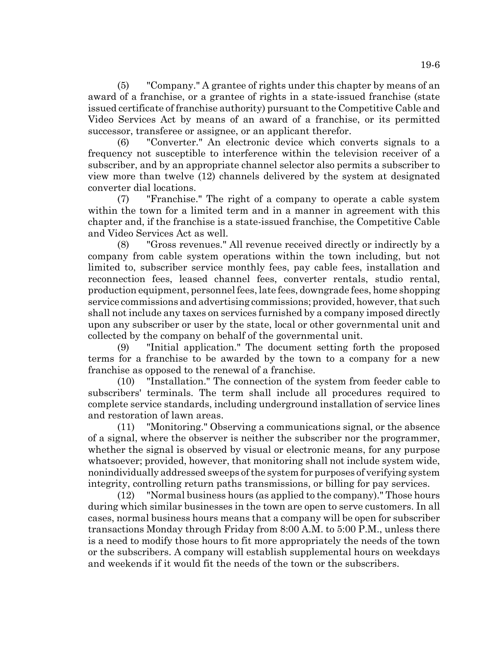(5) "Company." A grantee of rights under this chapter by means of an award of a franchise, or a grantee of rights in a state-issued franchise (state issued certificate of franchise authority) pursuant to the Competitive Cable and Video Services Act by means of an award of a franchise, or its permitted successor, transferee or assignee, or an applicant therefor.

(6) "Converter." An electronic device which converts signals to a frequency not susceptible to interference within the television receiver of a subscriber, and by an appropriate channel selector also permits a subscriber to view more than twelve (12) channels delivered by the system at designated converter dial locations.

(7) "Franchise." The right of a company to operate a cable system within the town for a limited term and in a manner in agreement with this chapter and, if the franchise is a state-issued franchise, the Competitive Cable and Video Services Act as well.

(8) "Gross revenues." All revenue received directly or indirectly by a company from cable system operations within the town including, but not limited to, subscriber service monthly fees, pay cable fees, installation and reconnection fees, leased channel fees, converter rentals, studio rental, production equipment, personnel fees, late fees, downgrade fees, home shopping service commissions and advertising commissions; provided, however, that such shall not include any taxes on services furnished by a company imposed directly upon any subscriber or user by the state, local or other governmental unit and collected by the company on behalf of the governmental unit.

(9) "Initial application." The document setting forth the proposed terms for a franchise to be awarded by the town to a company for a new franchise as opposed to the renewal of a franchise.

(10) "Installation." The connection of the system from feeder cable to subscribers' terminals. The term shall include all procedures required to complete service standards, including underground installation of service lines and restoration of lawn areas.

(11) "Monitoring." Observing a communications signal, or the absence of a signal, where the observer is neither the subscriber nor the programmer, whether the signal is observed by visual or electronic means, for any purpose whatsoever; provided, however, that monitoring shall not include system wide, nonindividually addressed sweeps of the system for purposes of verifying system integrity, controlling return paths transmissions, or billing for pay services.

(12) "Normal business hours (as applied to the company)." Those hours during which similar businesses in the town are open to serve customers. In all cases, normal business hours means that a company will be open for subscriber transactions Monday through Friday from 8:00 A.M. to 5:00 P.M., unless there is a need to modify those hours to fit more appropriately the needs of the town or the subscribers. A company will establish supplemental hours on weekdays and weekends if it would fit the needs of the town or the subscribers.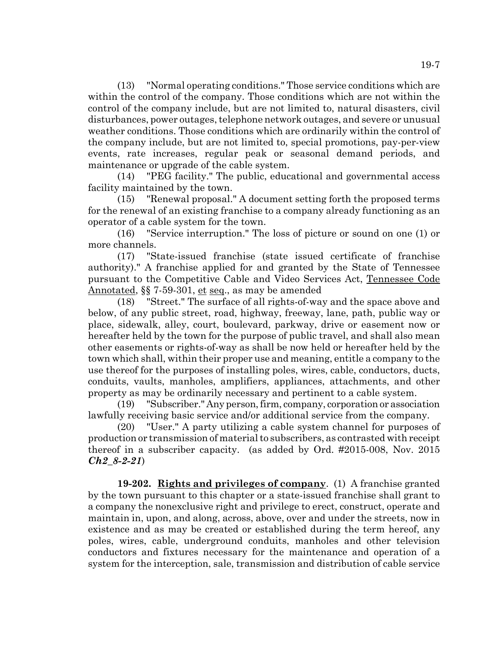(13) "Normal operating conditions." Those service conditions which are within the control of the company. Those conditions which are not within the control of the company include, but are not limited to, natural disasters, civil disturbances, power outages, telephone network outages, and severe or unusual weather conditions. Those conditions which are ordinarily within the control of the company include, but are not limited to, special promotions, pay-per-view events, rate increases, regular peak or seasonal demand periods, and maintenance or upgrade of the cable system.

(14) "PEG facility." The public, educational and governmental access facility maintained by the town.

(15) "Renewal proposal." A document setting forth the proposed terms for the renewal of an existing franchise to a company already functioning as an operator of a cable system for the town.

(16) "Service interruption." The loss of picture or sound on one (1) or more channels.

(17) "State-issued franchise (state issued certificate of franchise authority)." A franchise applied for and granted by the State of Tennessee pursuant to the Competitive Cable and Video Services Act, Tennessee Code Annotated, §§ 7-59-301, et seq., as may be amended

(18) "Street." The surface of all rights-of-way and the space above and below, of any public street, road, highway, freeway, lane, path, public way or place, sidewalk, alley, court, boulevard, parkway, drive or easement now or hereafter held by the town for the purpose of public travel, and shall also mean other easements or rights-of-way as shall be now held or hereafter held by the town which shall, within their proper use and meaning, entitle a company to the use thereof for the purposes of installing poles, wires, cable, conductors, ducts, conduits, vaults, manholes, amplifiers, appliances, attachments, and other property as may be ordinarily necessary and pertinent to a cable system.

(19) "Subscriber." Any person, firm, company, corporation or association lawfully receiving basic service and/or additional service from the company.

(20) "User." A party utilizing a cable system channel for purposes of production or transmission of material to subscribers, as contrasted with receipt thereof in a subscriber capacity. (as added by Ord. #2015-008, Nov. 2015 *Ch2\_8-2-21*)

**19-202. Rights and privileges of company**. (1) A franchise granted by the town pursuant to this chapter or a state-issued franchise shall grant to a company the nonexclusive right and privilege to erect, construct, operate and maintain in, upon, and along, across, above, over and under the streets, now in existence and as may be created or established during the term hereof, any poles, wires, cable, underground conduits, manholes and other television conductors and fixtures necessary for the maintenance and operation of a system for the interception, sale, transmission and distribution of cable service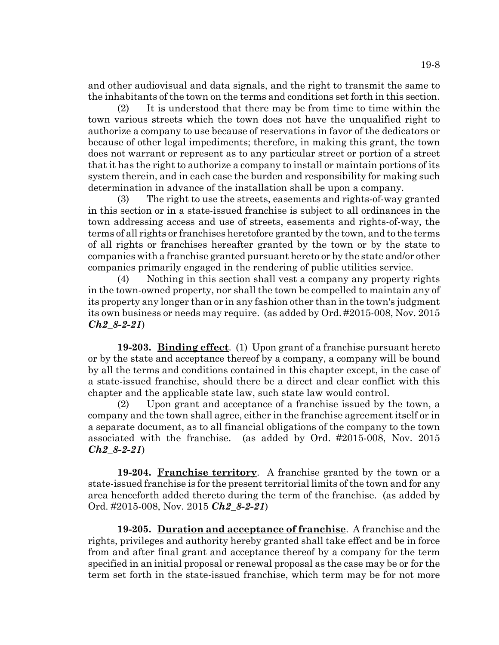and other audiovisual and data signals, and the right to transmit the same to the inhabitants of the town on the terms and conditions set forth in this section.

(2) It is understood that there may be from time to time within the town various streets which the town does not have the unqualified right to authorize a company to use because of reservations in favor of the dedicators or because of other legal impediments; therefore, in making this grant, the town does not warrant or represent as to any particular street or portion of a street that it has the right to authorize a company to install or maintain portions of its system therein, and in each case the burden and responsibility for making such determination in advance of the installation shall be upon a company.

(3) The right to use the streets, easements and rights-of-way granted in this section or in a state-issued franchise is subject to all ordinances in the town addressing access and use of streets, easements and rights-of-way, the terms of all rights or franchises heretofore granted by the town, and to the terms of all rights or franchises hereafter granted by the town or by the state to companies with a franchise granted pursuant hereto or by the state and/or other companies primarily engaged in the rendering of public utilities service.

(4) Nothing in this section shall vest a company any property rights in the town-owned property, nor shall the town be compelled to maintain any of its property any longer than or in any fashion other than in the town's judgment its own business or needs may require. (as added by Ord. #2015-008, Nov. 2015 *Ch2\_8-2-21*)

**19-203. Binding effect**. (1) Upon grant of a franchise pursuant hereto or by the state and acceptance thereof by a company, a company will be bound by all the terms and conditions contained in this chapter except, in the case of a state-issued franchise, should there be a direct and clear conflict with this chapter and the applicable state law, such state law would control.

(2) Upon grant and acceptance of a franchise issued by the town, a company and the town shall agree, either in the franchise agreement itself or in a separate document, as to all financial obligations of the company to the town associated with the franchise. (as added by Ord. #2015-008, Nov. 2015 *Ch2\_8-2-21*)

**19-204. Franchise territory**. A franchise granted by the town or a state-issued franchise is for the present territorial limits of the town and for any area henceforth added thereto during the term of the franchise. (as added by Ord. #2015-008, Nov. 2015 *Ch2\_8-2-21*)

**19-205. Duration and acceptance of franchise**. A franchise and the rights, privileges and authority hereby granted shall take effect and be in force from and after final grant and acceptance thereof by a company for the term specified in an initial proposal or renewal proposal as the case may be or for the term set forth in the state-issued franchise, which term may be for not more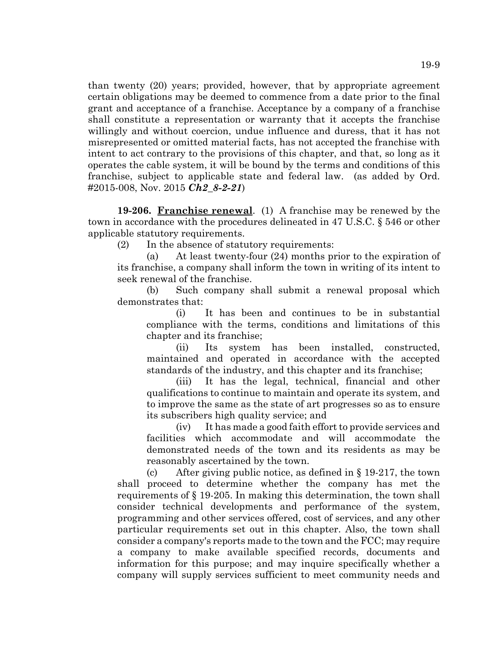than twenty (20) years; provided, however, that by appropriate agreement certain obligations may be deemed to commence from a date prior to the final grant and acceptance of a franchise. Acceptance by a company of a franchise shall constitute a representation or warranty that it accepts the franchise willingly and without coercion, undue influence and duress, that it has not misrepresented or omitted material facts, has not accepted the franchise with intent to act contrary to the provisions of this chapter, and that, so long as it operates the cable system, it will be bound by the terms and conditions of this franchise, subject to applicable state and federal law. (as added by Ord. #2015-008, Nov. 2015 *Ch2\_8-2-21*)

**19-206. Franchise renewal**. (1) A franchise may be renewed by the town in accordance with the procedures delineated in 47 U.S.C. § 546 or other applicable statutory requirements.

(2) In the absence of statutory requirements:

(a) At least twenty-four (24) months prior to the expiration of its franchise, a company shall inform the town in writing of its intent to seek renewal of the franchise.

(b) Such company shall submit a renewal proposal which demonstrates that:

(i) It has been and continues to be in substantial compliance with the terms, conditions and limitations of this chapter and its franchise;

(ii) Its system has been installed, constructed, maintained and operated in accordance with the accepted standards of the industry, and this chapter and its franchise;

(iii) It has the legal, technical, financial and other qualifications to continue to maintain and operate its system, and to improve the same as the state of art progresses so as to ensure its subscribers high quality service; and

(iv) It has made a good faith effort to provide services and facilities which accommodate and will accommodate the demonstrated needs of the town and its residents as may be reasonably ascertained by the town.

(c) After giving public notice, as defined in § 19-217, the town shall proceed to determine whether the company has met the requirements of § 19-205. In making this determination, the town shall consider technical developments and performance of the system, programming and other services offered, cost of services, and any other particular requirements set out in this chapter. Also, the town shall consider a company's reports made to the town and the FCC; may require a company to make available specified records, documents and information for this purpose; and may inquire specifically whether a company will supply services sufficient to meet community needs and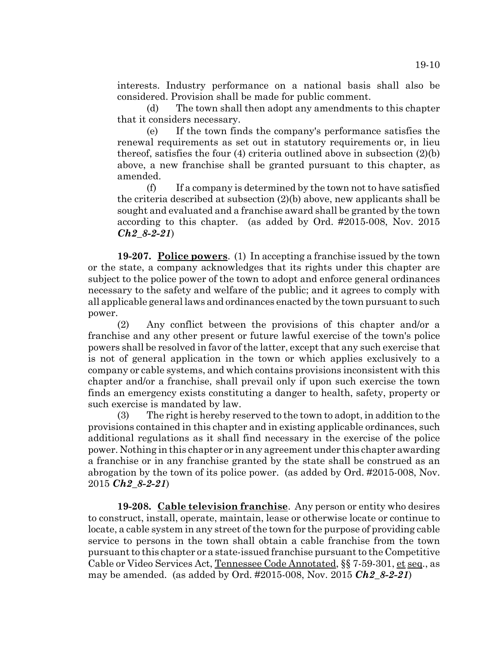interests. Industry performance on a national basis shall also be considered. Provision shall be made for public comment.

(d) The town shall then adopt any amendments to this chapter that it considers necessary.

(e) If the town finds the company's performance satisfies the renewal requirements as set out in statutory requirements or, in lieu thereof, satisfies the four (4) criteria outlined above in subsection (2)(b) above, a new franchise shall be granted pursuant to this chapter, as amended.

(f) If a company is determined by the town not to have satisfied the criteria described at subsection (2)(b) above, new applicants shall be sought and evaluated and a franchise award shall be granted by the town according to this chapter. (as added by Ord. #2015-008, Nov. 2015 *Ch2\_8-2-21*)

**19-207. Police powers**. (1) In accepting a franchise issued by the town or the state, a company acknowledges that its rights under this chapter are subject to the police power of the town to adopt and enforce general ordinances necessary to the safety and welfare of the public; and it agrees to comply with all applicable general laws and ordinances enacted by the town pursuant to such power.

(2) Any conflict between the provisions of this chapter and/or a franchise and any other present or future lawful exercise of the town's police powers shall be resolved in favor of the latter, except that any such exercise that is not of general application in the town or which applies exclusively to a company or cable systems, and which contains provisions inconsistent with this chapter and/or a franchise, shall prevail only if upon such exercise the town finds an emergency exists constituting a danger to health, safety, property or such exercise is mandated by law.

(3) The right is hereby reserved to the town to adopt, in addition to the provisions contained in this chapter and in existing applicable ordinances, such additional regulations as it shall find necessary in the exercise of the police power. Nothing in this chapter or in any agreement under this chapter awarding a franchise or in any franchise granted by the state shall be construed as an abrogation by the town of its police power. (as added by Ord. #2015-008, Nov. 2015 *Ch2\_8-2-21*)

**19-208. Cable television franchise**. Any person or entity who desires to construct, install, operate, maintain, lease or otherwise locate or continue to locate, a cable system in any street of the town for the purpose of providing cable service to persons in the town shall obtain a cable franchise from the town pursuant to this chapter or a state-issued franchise pursuant to the Competitive Cable or Video Services Act, Tennessee Code Annotated, §§ 7-59-301, et seq., as may be amended. (as added by Ord. #2015-008, Nov. 2015 *Ch2\_8-2-21*)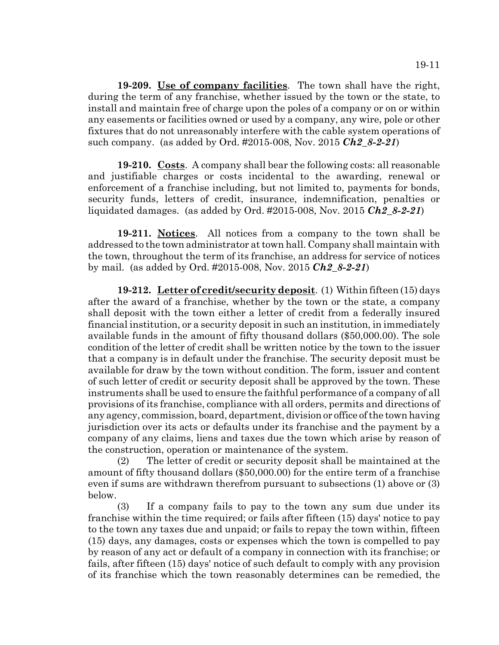**19-209. Use of company facilities**. The town shall have the right, during the term of any franchise, whether issued by the town or the state, to install and maintain free of charge upon the poles of a company or on or within any easements or facilities owned or used by a company, any wire, pole or other fixtures that do not unreasonably interfere with the cable system operations of such company. (as added by Ord. #2015-008, Nov. 2015 *Ch2\_8-2-21*)

**19-210. Costs**. A company shall bear the following costs: all reasonable and justifiable charges or costs incidental to the awarding, renewal or enforcement of a franchise including, but not limited to, payments for bonds, security funds, letters of credit, insurance, indemnification, penalties or liquidated damages. (as added by Ord. #2015-008, Nov. 2015 *Ch2\_8-2-21*)

**19-211. Notices**. All notices from a company to the town shall be addressed to the town administrator at town hall. Company shall maintain with the town, throughout the term of its franchise, an address for service of notices by mail. (as added by Ord. #2015-008, Nov. 2015 *Ch2\_8-2-21*)

**19-212. Letter of credit/security deposit**. (1) Within fifteen (15) days after the award of a franchise, whether by the town or the state, a company shall deposit with the town either a letter of credit from a federally insured financial institution, or a security deposit in such an institution, in immediately available funds in the amount of fifty thousand dollars (\$50,000.00). The sole condition of the letter of credit shall be written notice by the town to the issuer that a company is in default under the franchise. The security deposit must be available for draw by the town without condition. The form, issuer and content of such letter of credit or security deposit shall be approved by the town. These instruments shall be used to ensure the faithful performance of a company of all provisions of its franchise, compliance with all orders, permits and directions of any agency, commission, board, department, division or office of the town having jurisdiction over its acts or defaults under its franchise and the payment by a company of any claims, liens and taxes due the town which arise by reason of the construction, operation or maintenance of the system.

(2) The letter of credit or security deposit shall be maintained at the amount of fifty thousand dollars (\$50,000.00) for the entire term of a franchise even if sums are withdrawn therefrom pursuant to subsections (1) above or (3) below.

(3) If a company fails to pay to the town any sum due under its franchise within the time required; or fails after fifteen (15) days' notice to pay to the town any taxes due and unpaid; or fails to repay the town within, fifteen (15) days, any damages, costs or expenses which the town is compelled to pay by reason of any act or default of a company in connection with its franchise; or fails, after fifteen (15) days' notice of such default to comply with any provision of its franchise which the town reasonably determines can be remedied, the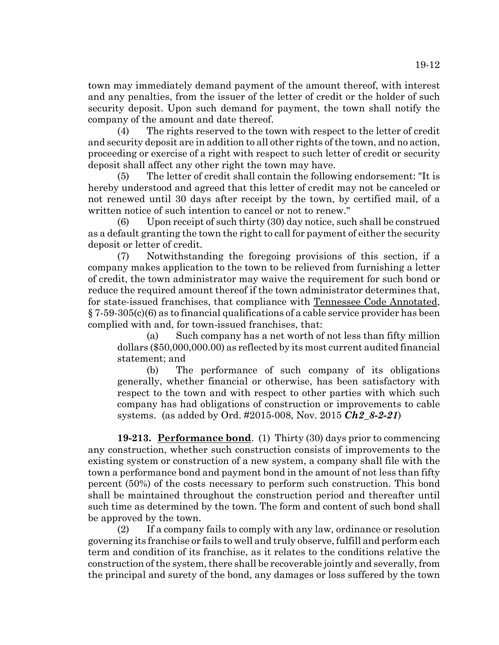town may immediately demand payment of the amount thereof, with interest and any penalties, from the issuer of the letter of credit or the holder of such security deposit. Upon such demand for payment, the town shall notify the company of the amount and date thereof.

(4) The rights reserved to the town with respect to the letter of credit and security deposit are in addition to all other rights of the town, and no action, proceeding or exercise of a right with respect to such letter of credit or security deposit shall affect any other right the town may have.

(5) The letter of credit shall contain the following endorsement: "It is hereby understood and agreed that this letter of credit may not be canceled or not renewed until 30 days after receipt by the town, by certified mail, of a written notice of such intention to cancel or not to renew."

(6) Upon receipt of such thirty (30) day notice, such shall be construed as a default granting the town the right to call for payment of either the security deposit or letter of credit.

(7) Notwithstanding the foregoing provisions of this section, if a company makes application to the town to be relieved from furnishing a letter of credit, the town administrator may waive the requirement for such bond or reduce the required amount thereof if the town administrator determines that, for state-issued franchises, that compliance with Tennessee Code Annotated, § 7-59-305(c)(6) as to financial qualifications of a cable service provider has been complied with and, for town-issued franchises, that:

(a) Such company has a net worth of not less than fifty million dollars (\$50,000,000.00) as reflected by its most current audited financial statement; and

(b) The performance of such company of its obligations generally, whether financial or otherwise, has been satisfactory with respect to the town and with respect to other parties with which such company has had obligations of construction or improvements to cable systems. (as added by Ord. #2015-008, Nov. 2015 *Ch2\_8-2-21*)

**19-213. Performance bond**. (1) Thirty (30) days prior to commencing any construction, whether such construction consists of improvements to the existing system or construction of a new system, a company shall file with the town a performance bond and payment bond in the amount of not less than fifty percent (50%) of the costs necessary to perform such construction. This bond shall be maintained throughout the construction period and thereafter until such time as determined by the town. The form and content of such bond shall be approved by the town.

(2) If a company fails to comply with any law, ordinance or resolution governing its franchise or fails to well and truly observe, fulfill and perform each term and condition of its franchise, as it relates to the conditions relative the construction of the system, there shall be recoverable jointly and severally, from the principal and surety of the bond, any damages or loss suffered by the town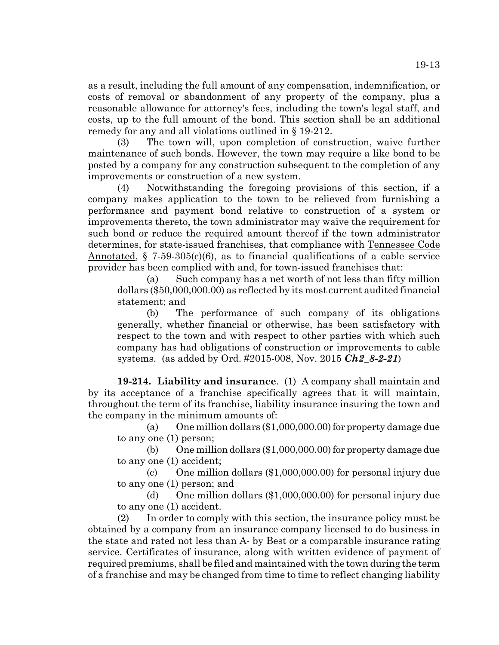as a result, including the full amount of any compensation, indemnification, or costs of removal or abandonment of any property of the company, plus a reasonable allowance for attorney's fees, including the town's legal staff, and costs, up to the full amount of the bond. This section shall be an additional remedy for any and all violations outlined in § 19-212.

(3) The town will, upon completion of construction, waive further maintenance of such bonds. However, the town may require a like bond to be posted by a company for any construction subsequent to the completion of any improvements or construction of a new system.

(4) Notwithstanding the foregoing provisions of this section, if a company makes application to the town to be relieved from furnishing a performance and payment bond relative to construction of a system or improvements thereto, the town administrator may waive the requirement for such bond or reduce the required amount thereof if the town administrator determines, for state-issued franchises, that compliance with Tennessee Code Annotated,  $\S$  7-59-305(c)(6), as to financial qualifications of a cable service provider has been complied with and, for town-issued franchises that:

(a) Such company has a net worth of not less than fifty million dollars (\$50,000,000.00) as reflected by its most current audited financial statement; and

(b) The performance of such company of its obligations generally, whether financial or otherwise, has been satisfactory with respect to the town and with respect to other parties with which such company has had obligations of construction or improvements to cable systems. (as added by Ord. #2015-008, Nov. 2015 *Ch2\_8-2-21*)

**19-214. Liability and insurance**. (1) A company shall maintain and by its acceptance of a franchise specifically agrees that it will maintain, throughout the term of its franchise, liability insurance insuring the town and the company in the minimum amounts of:

(a) One million dollars (\$1,000,000.00) for property damage due to any one (1) person;

(b) One million dollars (\$1,000,000.00) for property damage due to any one (1) accident;

(c) One million dollars (\$1,000,000.00) for personal injury due to any one (1) person; and

(d) One million dollars (\$1,000,000.00) for personal injury due to any one (1) accident.

(2) In order to comply with this section, the insurance policy must be obtained by a company from an insurance company licensed to do business in the state and rated not less than A- by Best or a comparable insurance rating service. Certificates of insurance, along with written evidence of payment of required premiums, shall be filed and maintained with the town during the term of a franchise and may be changed from time to time to reflect changing liability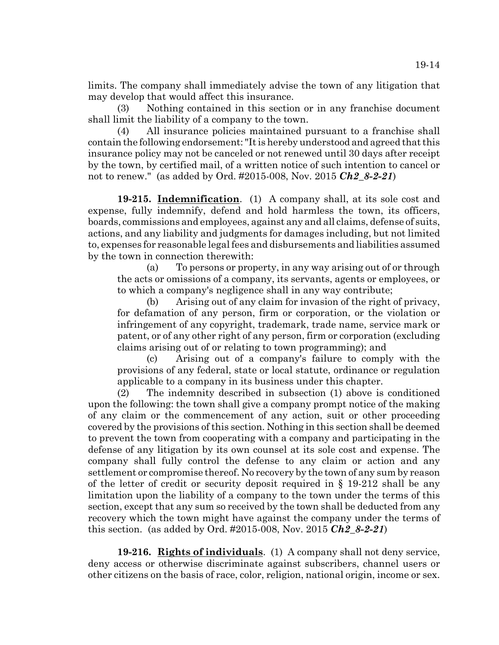19-14

limits. The company shall immediately advise the town of any litigation that may develop that would affect this insurance.

(3) Nothing contained in this section or in any franchise document shall limit the liability of a company to the town.

(4) All insurance policies maintained pursuant to a franchise shall contain the following endorsement: "It is hereby understood and agreed that this insurance policy may not be canceled or not renewed until 30 days after receipt by the town, by certified mail, of a written notice of such intention to cancel or not to renew." (as added by Ord. #2015-008, Nov. 2015 *Ch2\_8-2-21*)

**19-215. Indemnification**. (1) A company shall, at its sole cost and expense, fully indemnify, defend and hold harmless the town, its officers, boards, commissions and employees, against any and all claims, defense of suits, actions, and any liability and judgments for damages including, but not limited to, expenses for reasonable legal fees and disbursements and liabilities assumed by the town in connection therewith:

(a) To persons or property, in any way arising out of or through the acts or omissions of a company, its servants, agents or employees, or to which a company's negligence shall in any way contribute;

(b) Arising out of any claim for invasion of the right of privacy, for defamation of any person, firm or corporation, or the violation or infringement of any copyright, trademark, trade name, service mark or patent, or of any other right of any person, firm or corporation (excluding claims arising out of or relating to town programming); and

(c) Arising out of a company's failure to comply with the provisions of any federal, state or local statute, ordinance or regulation applicable to a company in its business under this chapter.

(2) The indemnity described in subsection (1) above is conditioned upon the following: the town shall give a company prompt notice of the making of any claim or the commencement of any action, suit or other proceeding covered by the provisions of this section. Nothing in this section shall be deemed to prevent the town from cooperating with a company and participating in the defense of any litigation by its own counsel at its sole cost and expense. The company shall fully control the defense to any claim or action and any settlement or compromise thereof. No recovery by the town of any sum by reason of the letter of credit or security deposit required in § 19-212 shall be any limitation upon the liability of a company to the town under the terms of this section, except that any sum so received by the town shall be deducted from any recovery which the town might have against the company under the terms of this section. (as added by Ord. #2015-008, Nov. 2015 *Ch2\_8-2-21*)

**19-216. Rights of individuals**. (1) A company shall not deny service, deny access or otherwise discriminate against subscribers, channel users or other citizens on the basis of race, color, religion, national origin, income or sex.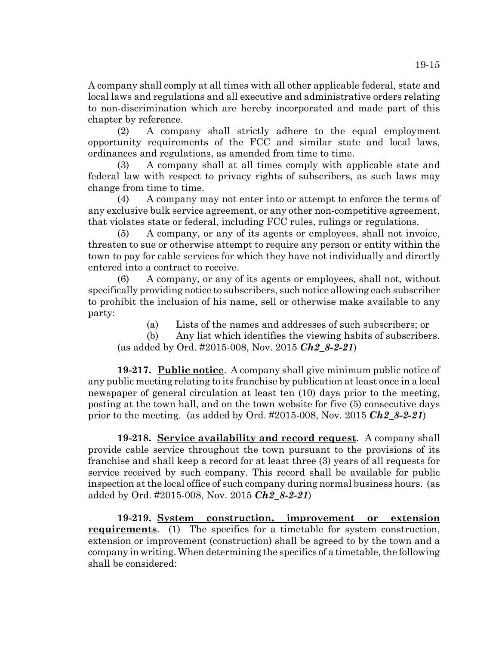A company shall comply at all times with all other applicable federal, state and local laws and regulations and all executive and administrative orders relating to non-discrimination which are hereby incorporated and made part of this chapter by reference.

(2) A company shall strictly adhere to the equal employment opportunity requirements of the FCC and similar state and local laws, ordinances and regulations, as amended from time to time.

(3) A company shall at all times comply with applicable state and federal law with respect to privacy rights of subscribers, as such laws may change from time to time.

(4) A company may not enter into or attempt to enforce the terms of any exclusive bulk service agreement, or any other non-competitive agreement, that violates state or federal, including FCC rules, rulings or regulations.

(5) A company, or any of its agents or employees, shall not invoice, threaten to sue or otherwise attempt to require any person or entity within the town to pay for cable services for which they have not individually and directly entered into a contract to receive.

(6) A company, or any of its agents or employees, shall not, without specifically providing notice to subscribers, such notice allowing each subscriber to prohibit the inclusion of his name, sell or otherwise make available to any party:

(a) Lists of the names and addresses of such subscribers; or

(b) Any list which identifies the viewing habits of subscribers. (as added by Ord. #2015-008, Nov. 2015 *Ch2\_8-2-21*)

**19-217. Public notice**. A company shall give minimum public notice of any public meeting relating to its franchise by publication at least once in a local newspaper of general circulation at least ten (10) days prior to the meeting, posting at the town hall, and on the town website for five (5) consecutive days prior to the meeting. (as added by Ord. #2015-008, Nov. 2015 *Ch2\_8-2-21*)

**19-218. Service availability and record request**. A company shall provide cable service throughout the town pursuant to the provisions of its franchise and shall keep a record for at least three (3) years of all requests for service received by such company. This record shall be available for public inspection at the local office of such company during normal business hours. (as added by Ord. #2015-008, Nov. 2015 *Ch2\_8-2-21*)

**19-219. System construction, improvement or extension requirements**. (1) The specifics for a timetable for system construction, extension or improvement (construction) shall be agreed to by the town and a company in writing. When determining the specifics of a timetable, the following shall be considered: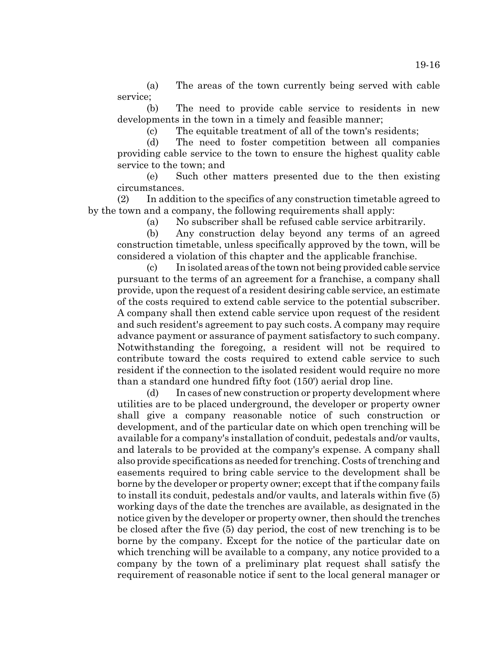(a) The areas of the town currently being served with cable service;

(b) The need to provide cable service to residents in new developments in the town in a timely and feasible manner;

(c) The equitable treatment of all of the town's residents;

(d) The need to foster competition between all companies providing cable service to the town to ensure the highest quality cable service to the town; and

(e) Such other matters presented due to the then existing circumstances.

(2) In addition to the specifics of any construction timetable agreed to by the town and a company, the following requirements shall apply:

(a) No subscriber shall be refused cable service arbitrarily.

(b) Any construction delay beyond any terms of an agreed construction timetable, unless specifically approved by the town, will be considered a violation of this chapter and the applicable franchise.

(c) In isolated areas of the town not being provided cable service pursuant to the terms of an agreement for a franchise, a company shall provide, upon the request of a resident desiring cable service, an estimate of the costs required to extend cable service to the potential subscriber. A company shall then extend cable service upon request of the resident and such resident's agreement to pay such costs. A company may require advance payment or assurance of payment satisfactory to such company. Notwithstanding the foregoing, a resident will not be required to contribute toward the costs required to extend cable service to such resident if the connection to the isolated resident would require no more than a standard one hundred fifty foot (150') aerial drop line.

(d) In cases of new construction or property development where utilities are to be placed underground, the developer or property owner shall give a company reasonable notice of such construction or development, and of the particular date on which open trenching will be available for a company's installation of conduit, pedestals and/or vaults, and laterals to be provided at the company's expense. A company shall also provide specifications as needed for trenching. Costs of trenching and easements required to bring cable service to the development shall be borne by the developer or property owner; except that if the company fails to install its conduit, pedestals and/or vaults, and laterals within five (5) working days of the date the trenches are available, as designated in the notice given by the developer or property owner, then should the trenches be closed after the five (5) day period, the cost of new trenching is to be borne by the company. Except for the notice of the particular date on which trenching will be available to a company, any notice provided to a company by the town of a preliminary plat request shall satisfy the requirement of reasonable notice if sent to the local general manager or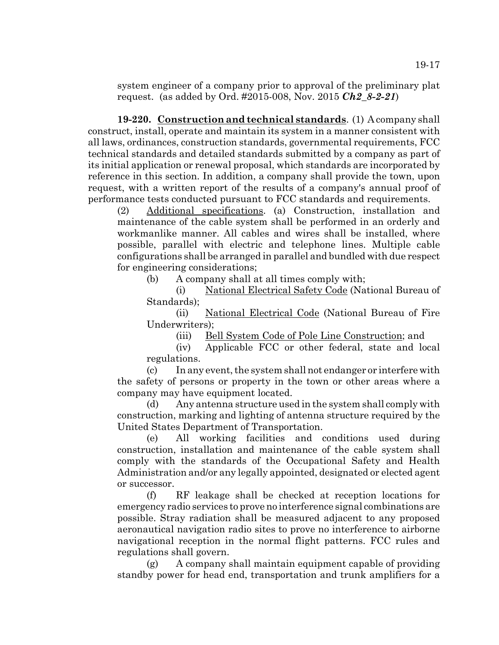system engineer of a company prior to approval of the preliminary plat request. (as added by Ord. #2015-008, Nov. 2015 *Ch2\_8-2-21*)

**19-220. Construction and technical standards**. (1) A company shall construct, install, operate and maintain its system in a manner consistent with all laws, ordinances, construction standards, governmental requirements, FCC technical standards and detailed standards submitted by a company as part of its initial application or renewal proposal, which standards are incorporated by reference in this section. In addition, a company shall provide the town, upon request, with a written report of the results of a company's annual proof of performance tests conducted pursuant to FCC standards and requirements.

(2) Additional specifications. (a) Construction, installation and maintenance of the cable system shall be performed in an orderly and workmanlike manner. All cables and wires shall be installed, where possible, parallel with electric and telephone lines. Multiple cable configurations shall be arranged in parallel and bundled with due respect for engineering considerations;

(b) A company shall at all times comply with;

(i) National Electrical Safety Code (National Bureau of Standards);

(ii) National Electrical Code (National Bureau of Fire Underwriters);

(iii) Bell System Code of Pole Line Construction; and

(iv) Applicable FCC or other federal, state and local regulations.

(c) In any event, the system shall not endanger or interfere with the safety of persons or property in the town or other areas where a company may have equipment located.

(d) Any antenna structure used in the system shall comply with construction, marking and lighting of antenna structure required by the United States Department of Transportation.

(e) All working facilities and conditions used during construction, installation and maintenance of the cable system shall comply with the standards of the Occupational Safety and Health Administration and/or any legally appointed, designated or elected agent or successor.

(f) RF leakage shall be checked at reception locations for emergency radio services to prove no interference signal combinations are possible. Stray radiation shall be measured adjacent to any proposed aeronautical navigation radio sites to prove no interference to airborne navigational reception in the normal flight patterns. FCC rules and regulations shall govern.

(g) A company shall maintain equipment capable of providing standby power for head end, transportation and trunk amplifiers for a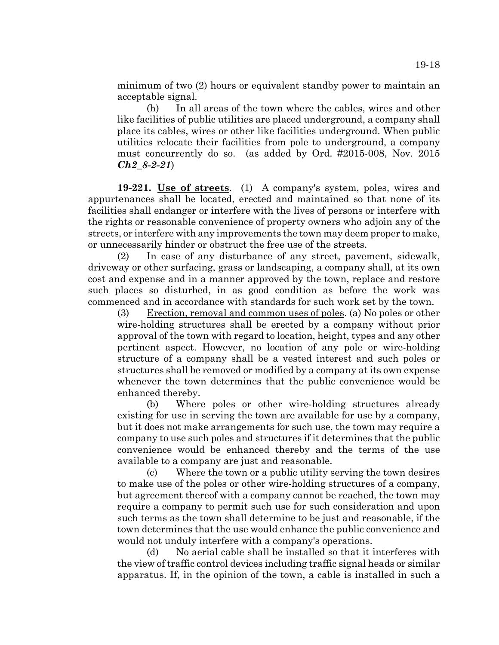minimum of two (2) hours or equivalent standby power to maintain an acceptable signal.

(h) In all areas of the town where the cables, wires and other like facilities of public utilities are placed underground, a company shall place its cables, wires or other like facilities underground. When public utilities relocate their facilities from pole to underground, a company must concurrently do so. (as added by Ord. #2015-008, Nov. 2015 *Ch2\_8-2-21*)

**19-221. Use of streets**. (1) A company's system, poles, wires and appurtenances shall be located, erected and maintained so that none of its facilities shall endanger or interfere with the lives of persons or interfere with the rights or reasonable convenience of property owners who adjoin any of the streets, or interfere with any improvements the town may deem proper to make, or unnecessarily hinder or obstruct the free use of the streets.

(2) In case of any disturbance of any street, pavement, sidewalk, driveway or other surfacing, grass or landscaping, a company shall, at its own cost and expense and in a manner approved by the town, replace and restore such places so disturbed, in as good condition as before the work was commenced and in accordance with standards for such work set by the town.

(3) Erection, removal and common uses of poles. (a) No poles or other wire-holding structures shall be erected by a company without prior approval of the town with regard to location, height, types and any other pertinent aspect. However, no location of any pole or wire-holding structure of a company shall be a vested interest and such poles or structures shall be removed or modified by a company at its own expense whenever the town determines that the public convenience would be enhanced thereby.

(b) Where poles or other wire-holding structures already existing for use in serving the town are available for use by a company, but it does not make arrangements for such use, the town may require a company to use such poles and structures if it determines that the public convenience would be enhanced thereby and the terms of the use available to a company are just and reasonable.

(c) Where the town or a public utility serving the town desires to make use of the poles or other wire-holding structures of a company, but agreement thereof with a company cannot be reached, the town may require a company to permit such use for such consideration and upon such terms as the town shall determine to be just and reasonable, if the town determines that the use would enhance the public convenience and would not unduly interfere with a company's operations.

(d) No aerial cable shall be installed so that it interferes with the view of traffic control devices including traffic signal heads or similar apparatus. If, in the opinion of the town, a cable is installed in such a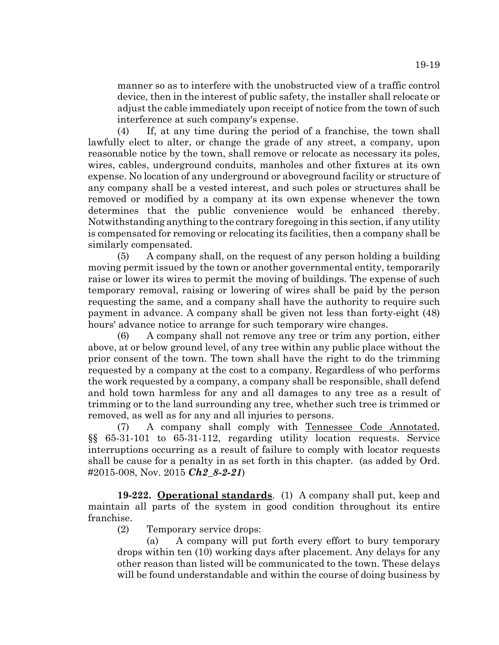manner so as to interfere with the unobstructed view of a traffic control device, then in the interest of public safety, the installer shall relocate or adjust the cable immediately upon receipt of notice from the town of such interference at such company's expense.

(4) If, at any time during the period of a franchise, the town shall lawfully elect to alter, or change the grade of any street, a company, upon reasonable notice by the town, shall remove or relocate as necessary its poles, wires, cables, underground conduits, manholes and other fixtures at its own expense. No location of any underground or aboveground facility or structure of any company shall be a vested interest, and such poles or structures shall be removed or modified by a company at its own expense whenever the town determines that the public convenience would be enhanced thereby. Notwithstanding anything to the contrary foregoing in this section, if any utility is compensated for removing or relocating its facilities, then a company shall be similarly compensated.

(5) A company shall, on the request of any person holding a building moving permit issued by the town or another governmental entity, temporarily raise or lower its wires to permit the moving of buildings. The expense of such temporary removal, raising or lowering of wires shall be paid by the person requesting the same, and a company shall have the authority to require such payment in advance. A company shall be given not less than forty-eight (48) hours' advance notice to arrange for such temporary wire changes.

(6) A company shall not remove any tree or trim any portion, either above, at or below ground level, of any tree within any public place without the prior consent of the town. The town shall have the right to do the trimming requested by a company at the cost to a company. Regardless of who performs the work requested by a company, a company shall be responsible, shall defend and hold town harmless for any and all damages to any tree as a result of trimming or to the land surrounding any tree, whether such tree is trimmed or removed, as well as for any and all injuries to persons.

(7) A company shall comply with Tennessee Code Annotated, §§ 65-31-101 to 65-31-112, regarding utility location requests. Service interruptions occurring as a result of failure to comply with locator requests shall be cause for a penalty in as set forth in this chapter. (as added by Ord. #2015-008, Nov. 2015 *Ch2\_8-2-21*)

**19-222. Operational standards**. (1) A company shall put, keep and maintain all parts of the system in good condition throughout its entire franchise.

(2) Temporary service drops:

(a) A company will put forth every effort to bury temporary drops within ten (10) working days after placement. Any delays for any other reason than listed will be communicated to the town. These delays will be found understandable and within the course of doing business by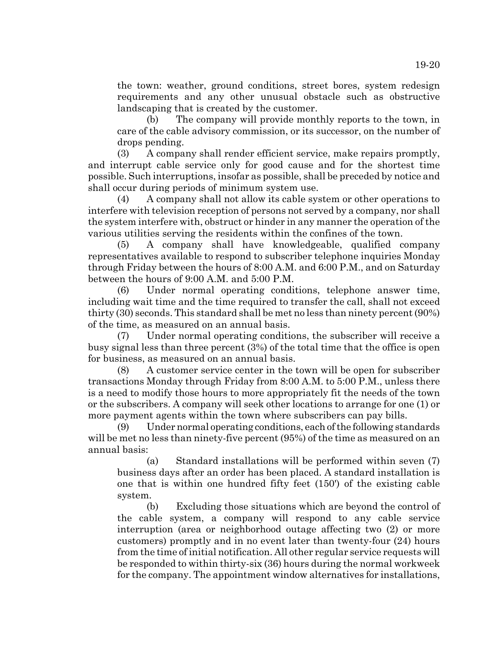the town: weather, ground conditions, street bores, system redesign requirements and any other unusual obstacle such as obstructive landscaping that is created by the customer.

(b) The company will provide monthly reports to the town, in care of the cable advisory commission, or its successor, on the number of drops pending.

(3) A company shall render efficient service, make repairs promptly, and interrupt cable service only for good cause and for the shortest time possible. Such interruptions, insofar as possible, shall be preceded by notice and shall occur during periods of minimum system use.

(4) A company shall not allow its cable system or other operations to interfere with television reception of persons not served by a company, nor shall the system interfere with, obstruct or hinder in any manner the operation of the various utilities serving the residents within the confines of the town.

(5) A company shall have knowledgeable, qualified company representatives available to respond to subscriber telephone inquiries Monday through Friday between the hours of 8:00 A.M. and 6:00 P.M., and on Saturday between the hours of 9:00 A.M. and 5:00 P.M.

(6) Under normal operating conditions, telephone answer time, including wait time and the time required to transfer the call, shall not exceed thirty (30) seconds. This standard shall be met no less than ninety percent (90%) of the time, as measured on an annual basis.

(7) Under normal operating conditions, the subscriber will receive a busy signal less than three percent (3%) of the total time that the office is open for business, as measured on an annual basis.

(8) A customer service center in the town will be open for subscriber transactions Monday through Friday from 8:00 A.M. to 5:00 P.M., unless there is a need to modify those hours to more appropriately fit the needs of the town or the subscribers. A company will seek other locations to arrange for one (1) or more payment agents within the town where subscribers can pay bills.

(9) Under normal operating conditions, each of the following standards will be met no less than ninety-five percent (95%) of the time as measured on an annual basis:

(a) Standard installations will be performed within seven (7) business days after an order has been placed. A standard installation is one that is within one hundred fifty feet (150') of the existing cable system.

(b) Excluding those situations which are beyond the control of the cable system, a company will respond to any cable service interruption (area or neighborhood outage affecting two (2) or more customers) promptly and in no event later than twenty-four (24) hours from the time of initial notification. All other regular service requests will be responded to within thirty-six (36) hours during the normal workweek for the company. The appointment window alternatives for installations,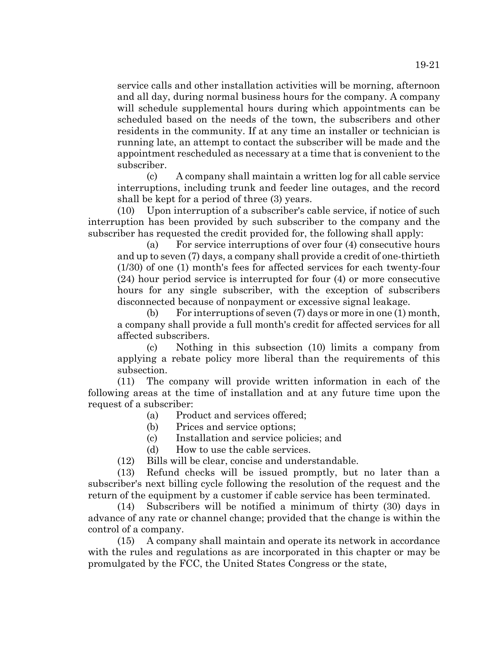service calls and other installation activities will be morning, afternoon and all day, during normal business hours for the company. A company will schedule supplemental hours during which appointments can be scheduled based on the needs of the town, the subscribers and other residents in the community. If at any time an installer or technician is

running late, an attempt to contact the subscriber will be made and the appointment rescheduled as necessary at a time that is convenient to the subscriber. (c) A company shall maintain a written log for all cable service

interruptions, including trunk and feeder line outages, and the record shall be kept for a period of three (3) years.

(10) Upon interruption of a subscriber's cable service, if notice of such interruption has been provided by such subscriber to the company and the subscriber has requested the credit provided for, the following shall apply:

(a) For service interruptions of over four (4) consecutive hours and up to seven (7) days, a company shall provide a credit of one-thirtieth (1/30) of one (1) month's fees for affected services for each twenty-four (24) hour period service is interrupted for four (4) or more consecutive hours for any single subscriber, with the exception of subscribers disconnected because of nonpayment or excessive signal leakage.

(b) For interruptions of seven (7) days or more in one (1) month, a company shall provide a full month's credit for affected services for all affected subscribers.

(c) Nothing in this subsection (10) limits a company from applying a rebate policy more liberal than the requirements of this subsection.

(11) The company will provide written information in each of the following areas at the time of installation and at any future time upon the request of a subscriber:

- (a) Product and services offered;
- (b) Prices and service options;
- (c) Installation and service policies; and
- (d) How to use the cable services.
- (12) Bills will be clear, concise and understandable.

(13) Refund checks will be issued promptly, but no later than a subscriber's next billing cycle following the resolution of the request and the return of the equipment by a customer if cable service has been terminated.

(14) Subscribers will be notified a minimum of thirty (30) days in advance of any rate or channel change; provided that the change is within the control of a company.

(15) A company shall maintain and operate its network in accordance with the rules and regulations as are incorporated in this chapter or may be promulgated by the FCC, the United States Congress or the state,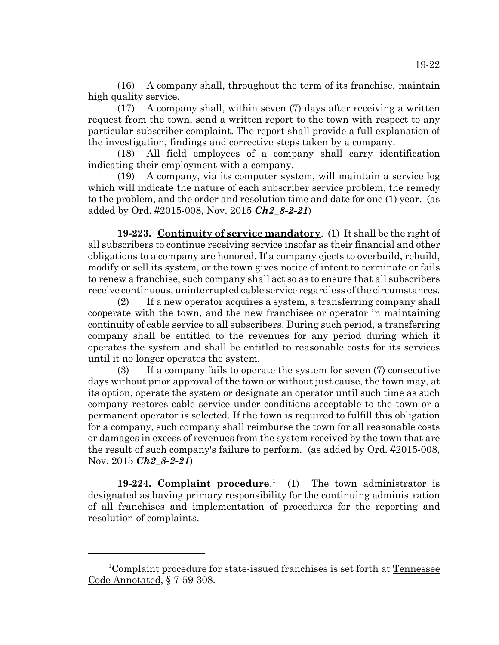(16) A company shall, throughout the term of its franchise, maintain high quality service.

(17) A company shall, within seven (7) days after receiving a written request from the town, send a written report to the town with respect to any particular subscriber complaint. The report shall provide a full explanation of the investigation, findings and corrective steps taken by a company.

(18) All field employees of a company shall carry identification indicating their employment with a company.

(19) A company, via its computer system, will maintain a service log which will indicate the nature of each subscriber service problem, the remedy to the problem, and the order and resolution time and date for one (1) year. (as added by Ord. #2015-008, Nov. 2015 *Ch2\_8-2-21*)

**19-223. Continuity of service mandatory**. (1) It shall be the right of all subscribers to continue receiving service insofar as their financial and other obligations to a company are honored. If a company ejects to overbuild, rebuild, modify or sell its system, or the town gives notice of intent to terminate or fails to renew a franchise, such company shall act so as to ensure that all subscribers receive continuous, uninterrupted cable service regardless of the circumstances.

(2) If a new operator acquires a system, a transferring company shall cooperate with the town, and the new franchisee or operator in maintaining continuity of cable service to all subscribers. During such period, a transferring company shall be entitled to the revenues for any period during which it operates the system and shall be entitled to reasonable costs for its services until it no longer operates the system.

(3) If a company fails to operate the system for seven (7) consecutive days without prior approval of the town or without just cause, the town may, at its option, operate the system or designate an operator until such time as such company restores cable service under conditions acceptable to the town or a permanent operator is selected. If the town is required to fulfill this obligation for a company, such company shall reimburse the town for all reasonable costs or damages in excess of revenues from the system received by the town that are the result of such company's failure to perform. (as added by Ord. #2015-008, Nov. 2015 *Ch2\_8-2-21*)

**19-224. Complaint procedure**. 1 The town administrator is designated as having primary responsibility for the continuing administration of all franchises and implementation of procedures for the reporting and resolution of complaints.

<sup>&</sup>lt;sup>1</sup>Complaint procedure for state-issued franchises is set forth at Tennessee Code Annotated, § 7-59-308.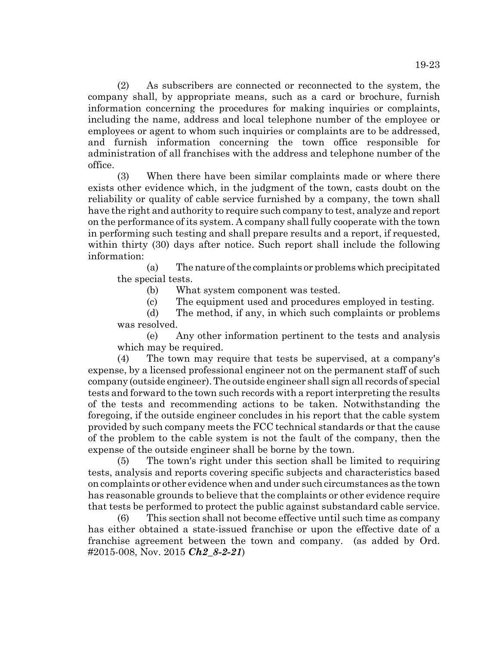(2) As subscribers are connected or reconnected to the system, the company shall, by appropriate means, such as a card or brochure, furnish information concerning the procedures for making inquiries or complaints, including the name, address and local telephone number of the employee or employees or agent to whom such inquiries or complaints are to be addressed, and furnish information concerning the town office responsible for administration of all franchises with the address and telephone number of the office.

(3) When there have been similar complaints made or where there exists other evidence which, in the judgment of the town, casts doubt on the reliability or quality of cable service furnished by a company, the town shall have the right and authority to require such company to test, analyze and report on the performance of its system. A company shall fully cooperate with the town in performing such testing and shall prepare results and a report, if requested, within thirty (30) days after notice. Such report shall include the following information:

(a) The nature of the complaints or problems which precipitated the special tests.

(b) What system component was tested.

(c) The equipment used and procedures employed in testing.

(d) The method, if any, in which such complaints or problems was resolved.

(e) Any other information pertinent to the tests and analysis which may be required.

(4) The town may require that tests be supervised, at a company's expense, by a licensed professional engineer not on the permanent staff of such company (outside engineer). The outside engineer shall sign all records of special tests and forward to the town such records with a report interpreting the results of the tests and recommending actions to be taken. Notwithstanding the foregoing, if the outside engineer concludes in his report that the cable system provided by such company meets the FCC technical standards or that the cause of the problem to the cable system is not the fault of the company, then the expense of the outside engineer shall be borne by the town.

(5) The town's right under this section shall be limited to requiring tests, analysis and reports covering specific subjects and characteristics based on complaints or other evidence when and under such circumstances as the town has reasonable grounds to believe that the complaints or other evidence require that tests be performed to protect the public against substandard cable service.

(6) This section shall not become effective until such time as company has either obtained a state-issued franchise or upon the effective date of a franchise agreement between the town and company. (as added by Ord. #2015-008, Nov. 2015 *Ch2\_8-2-21*)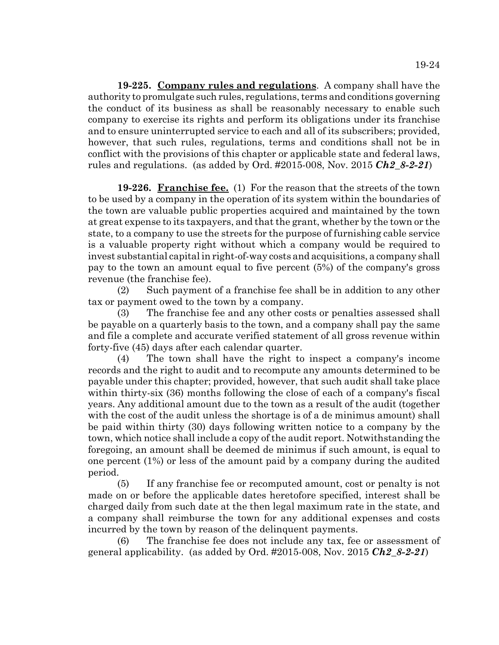**19-225. Company rules and regulations**. A company shall have the authority to promulgate such rules, regulations, terms and conditions governing the conduct of its business as shall be reasonably necessary to enable such company to exercise its rights and perform its obligations under its franchise and to ensure uninterrupted service to each and all of its subscribers; provided, however, that such rules, regulations, terms and conditions shall not be in conflict with the provisions of this chapter or applicable state and federal laws, rules and regulations. (as added by Ord. #2015-008, Nov. 2015 *Ch2\_8-2-21*)

**19-226. Franchise fee.** (1) For the reason that the streets of the town to be used by a company in the operation of its system within the boundaries of the town are valuable public properties acquired and maintained by the town at great expense to its taxpayers, and that the grant, whether by the town or the state, to a company to use the streets for the purpose of furnishing cable service is a valuable property right without which a company would be required to invest substantial capital in right-of-way costs and acquisitions, a company shall pay to the town an amount equal to five percent (5%) of the company's gross revenue (the franchise fee).

(2) Such payment of a franchise fee shall be in addition to any other tax or payment owed to the town by a company.

(3) The franchise fee and any other costs or penalties assessed shall be payable on a quarterly basis to the town, and a company shall pay the same and file a complete and accurate verified statement of all gross revenue within forty-five (45) days after each calendar quarter.

(4) The town shall have the right to inspect a company's income records and the right to audit and to recompute any amounts determined to be payable under this chapter; provided, however, that such audit shall take place within thirty-six (36) months following the close of each of a company's fiscal years. Any additional amount due to the town as a result of the audit (together with the cost of the audit unless the shortage is of a de minimus amount) shall be paid within thirty (30) days following written notice to a company by the town, which notice shall include a copy of the audit report. Notwithstanding the foregoing, an amount shall be deemed de minimus if such amount, is equal to one percent (1%) or less of the amount paid by a company during the audited period.

(5) If any franchise fee or recomputed amount, cost or penalty is not made on or before the applicable dates heretofore specified, interest shall be charged daily from such date at the then legal maximum rate in the state, and a company shall reimburse the town for any additional expenses and costs incurred by the town by reason of the delinquent payments.

(6) The franchise fee does not include any tax, fee or assessment of general applicability. (as added by Ord. #2015-008, Nov. 2015 *Ch2\_8-2-21*)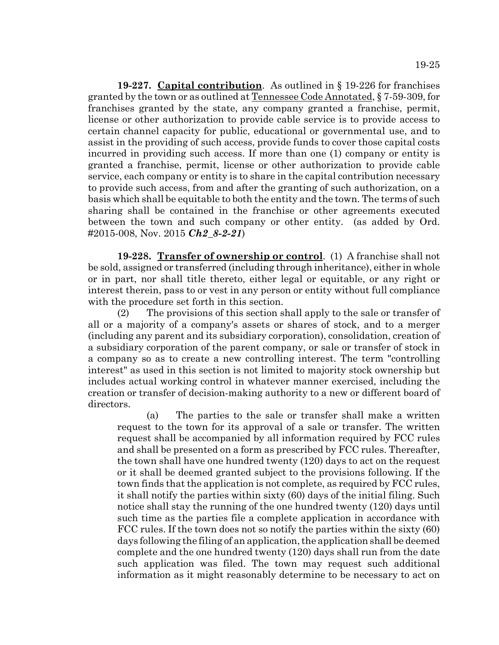**19-227. Capital contribution**. As outlined in § 19-226 for franchises granted by the town or as outlined at Tennessee Code Annotated, § 7-59-309, for franchises granted by the state, any company granted a franchise, permit, license or other authorization to provide cable service is to provide access to certain channel capacity for public, educational or governmental use, and to assist in the providing of such access, provide funds to cover those capital costs incurred in providing such access. If more than one (1) company or entity is granted a franchise, permit, license or other authorization to provide cable service, each company or entity is to share in the capital contribution necessary to provide such access, from and after the granting of such authorization, on a basis which shall be equitable to both the entity and the town. The terms of such sharing shall be contained in the franchise or other agreements executed between the town and such company or other entity. (as added by Ord. #2015-008, Nov. 2015 *Ch2\_8-2-21*)

**19-228. Transfer of ownership or control**. (1) A franchise shall not be sold, assigned or transferred (including through inheritance), either in whole or in part, nor shall title thereto, either legal or equitable, or any right or interest therein, pass to or vest in any person or entity without full compliance with the procedure set forth in this section.

(2) The provisions of this section shall apply to the sale or transfer of all or a majority of a company's assets or shares of stock, and to a merger (including any parent and its subsidiary corporation), consolidation, creation of a subsidiary corporation of the parent company, or sale or transfer of stock in a company so as to create a new controlling interest. The term "controlling interest" as used in this section is not limited to majority stock ownership but includes actual working control in whatever manner exercised, including the creation or transfer of decision-making authority to a new or different board of directors.

(a) The parties to the sale or transfer shall make a written request to the town for its approval of a sale or transfer. The written request shall be accompanied by all information required by FCC rules and shall be presented on a form as prescribed by FCC rules. Thereafter, the town shall have one hundred twenty (120) days to act on the request or it shall be deemed granted subject to the provisions following. If the town finds that the application is not complete, as required by FCC rules, it shall notify the parties within sixty (60) days of the initial filing. Such notice shall stay the running of the one hundred twenty (120) days until such time as the parties file a complete application in accordance with FCC rules. If the town does not so notify the parties within the sixty (60) days following the filing of an application, the application shall be deemed complete and the one hundred twenty (120) days shall run from the date such application was filed. The town may request such additional information as it might reasonably determine to be necessary to act on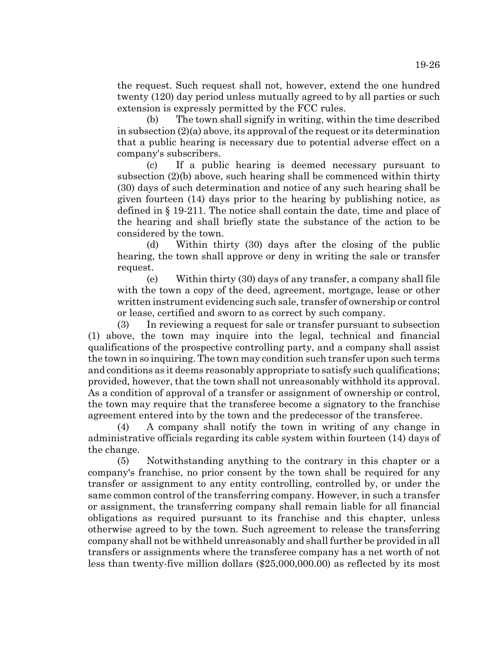the request. Such request shall not, however, extend the one hundred twenty (120) day period unless mutually agreed to by all parties or such extension is expressly permitted by the FCC rules.

(b) The town shall signify in writing, within the time described in subsection (2)(a) above, its approval of the request or its determination that a public hearing is necessary due to potential adverse effect on a company's subscribers.

(c) If a public hearing is deemed necessary pursuant to subsection (2)(b) above, such hearing shall be commenced within thirty (30) days of such determination and notice of any such hearing shall be given fourteen (14) days prior to the hearing by publishing notice, as defined in § 19-211. The notice shall contain the date, time and place of the hearing and shall briefly state the substance of the action to be considered by the town.

(d) Within thirty (30) days after the closing of the public hearing, the town shall approve or deny in writing the sale or transfer request.

(e) Within thirty (30) days of any transfer, a company shall file with the town a copy of the deed, agreement, mortgage, lease or other written instrument evidencing such sale, transfer of ownership or control or lease, certified and sworn to as correct by such company.

(3) In reviewing a request for sale or transfer pursuant to subsection (1) above, the town may inquire into the legal, technical and financial qualifications of the prospective controlling party, and a company shall assist the town in so inquiring. The town may condition such transfer upon such terms and conditions as it deems reasonably appropriate to satisfy such qualifications; provided, however, that the town shall not unreasonably withhold its approval. As a condition of approval of a transfer or assignment of ownership or control, the town may require that the transferee become a signatory to the franchise agreement entered into by the town and the predecessor of the transferee.

(4) A company shall notify the town in writing of any change in administrative officials regarding its cable system within fourteen (14) days of the change.

(5) Notwithstanding anything to the contrary in this chapter or a company's franchise, no prior consent by the town shall be required for any transfer or assignment to any entity controlling, controlled by, or under the same common control of the transferring company. However, in such a transfer or assignment, the transferring company shall remain liable for all financial obligations as required pursuant to its franchise and this chapter, unless otherwise agreed to by the town. Such agreement to release the transferring company shall not be withheld unreasonably and shall further be provided in all transfers or assignments where the transferee company has a net worth of not less than twenty-five million dollars (\$25,000,000.00) as reflected by its most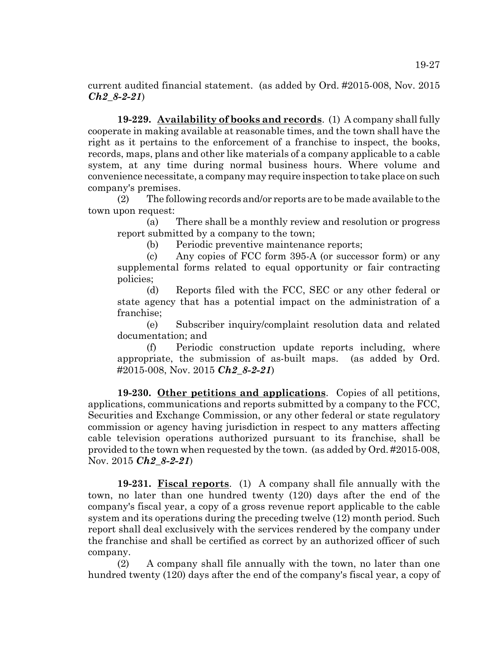current audited financial statement. (as added by Ord. #2015-008, Nov. 2015 *Ch2\_8-2-21*)

**19-229. Availability of books and records**. (1) A company shall fully cooperate in making available at reasonable times, and the town shall have the right as it pertains to the enforcement of a franchise to inspect, the books, records, maps, plans and other like materials of a company applicable to a cable system, at any time during normal business hours. Where volume and convenience necessitate, a company may require inspection to take place on such company's premises.

(2) The following records and/or reports are to be made available to the town upon request:

(a) There shall be a monthly review and resolution or progress report submitted by a company to the town;

(b) Periodic preventive maintenance reports;

(c) Any copies of FCC form 395-A (or successor form) or any supplemental forms related to equal opportunity or fair contracting policies;

(d) Reports filed with the FCC, SEC or any other federal or state agency that has a potential impact on the administration of a franchise;

(e) Subscriber inquiry/complaint resolution data and related documentation; and

(f) Periodic construction update reports including, where appropriate, the submission of as-built maps. (as added by Ord. #2015-008, Nov. 2015 *Ch2\_8-2-21*)

**19-230. Other petitions and applications**. Copies of all petitions, applications, communications and reports submitted by a company to the FCC, Securities and Exchange Commission, or any other federal or state regulatory commission or agency having jurisdiction in respect to any matters affecting cable television operations authorized pursuant to its franchise, shall be provided to the town when requested by the town. (as added by Ord. #2015-008, Nov. 2015 *Ch2\_8-2-21*)

**19-231. Fiscal reports**. (1) A company shall file annually with the town, no later than one hundred twenty (120) days after the end of the company's fiscal year, a copy of a gross revenue report applicable to the cable system and its operations during the preceding twelve (12) month period. Such report shall deal exclusively with the services rendered by the company under the franchise and shall be certified as correct by an authorized officer of such company.

(2) A company shall file annually with the town, no later than one hundred twenty (120) days after the end of the company's fiscal year, a copy of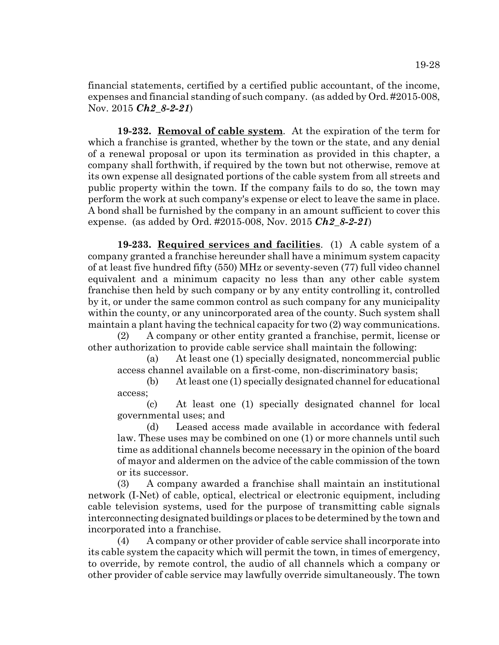financial statements, certified by a certified public accountant, of the income, expenses and financial standing of such company. (as added by Ord. #2015-008, Nov. 2015 *Ch2\_8-2-21*)

**19-232. Removal of cable system**. At the expiration of the term for which a franchise is granted, whether by the town or the state, and any denial of a renewal proposal or upon its termination as provided in this chapter, a company shall forthwith, if required by the town but not otherwise, remove at its own expense all designated portions of the cable system from all streets and public property within the town. If the company fails to do so, the town may perform the work at such company's expense or elect to leave the same in place. A bond shall be furnished by the company in an amount sufficient to cover this expense. (as added by Ord. #2015-008, Nov. 2015 *Ch2\_8-2-21*)

**19-233. Required services and facilities**. (1) A cable system of a company granted a franchise hereunder shall have a minimum system capacity of at least five hundred fifty (550) MHz or seventy-seven (77) full video channel equivalent and a minimum capacity no less than any other cable system franchise then held by such company or by any entity controlling it, controlled by it, or under the same common control as such company for any municipality within the county, or any unincorporated area of the county. Such system shall maintain a plant having the technical capacity for two (2) way communications.

(2) A company or other entity granted a franchise, permit, license or other authorization to provide cable service shall maintain the following:

(a) At least one (1) specially designated, noncommercial public access channel available on a first-come, non-discriminatory basis;

(b) At least one (1) specially designated channel for educational access;

(c) At least one (1) specially designated channel for local governmental uses; and

(d) Leased access made available in accordance with federal law. These uses may be combined on one (1) or more channels until such time as additional channels become necessary in the opinion of the board of mayor and aldermen on the advice of the cable commission of the town or its successor.

(3) A company awarded a franchise shall maintain an institutional network (I-Net) of cable, optical, electrical or electronic equipment, including cable television systems, used for the purpose of transmitting cable signals interconnecting designated buildings or places to be determined by the town and incorporated into a franchise.

(4) A company or other provider of cable service shall incorporate into its cable system the capacity which will permit the town, in times of emergency, to override, by remote control, the audio of all channels which a company or other provider of cable service may lawfully override simultaneously. The town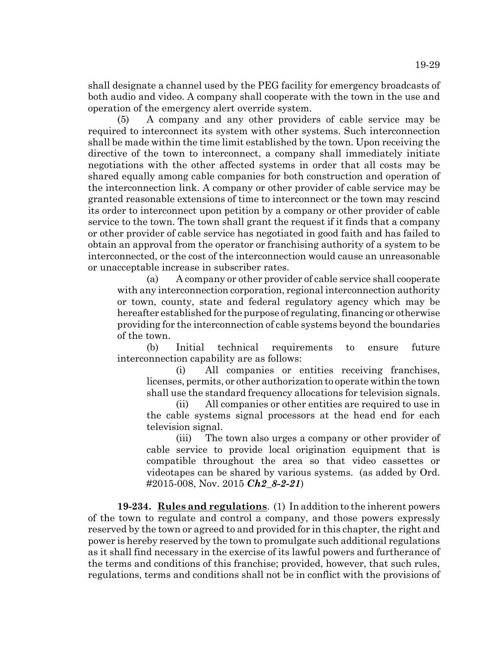shall designate a channel used by the PEG facility for emergency broadcasts of both audio and video. A company shall cooperate with the town in the use and operation of the emergency alert override system.

(5) A company and any other providers of cable service may be required to interconnect its system with other systems. Such interconnection shall be made within the time limit established by the town. Upon receiving the directive of the town to interconnect, a company shall immediately initiate negotiations with the other affected systems in order that all costs may be shared equally among cable companies for both construction and operation of the interconnection link. A company or other provider of cable service may be granted reasonable extensions of time to interconnect or the town may rescind its order to interconnect upon petition by a company or other provider of cable service to the town. The town shall grant the request if it finds that a company or other provider of cable service has negotiated in good faith and has failed to obtain an approval from the operator or franchising authority of a system to be interconnected, or the cost of the interconnection would cause an unreasonable or unacceptable increase in subscriber rates.

(a) A company or other provider of cable service shall cooperate with any interconnection corporation, regional interconnection authority or town, county, state and federal regulatory agency which may be hereafter established for the purpose of regulating, financing or otherwise providing for the interconnection of cable systems beyond the boundaries of the town.

(b) Initial technical requirements to ensure future interconnection capability are as follows:

(i) All companies or entities receiving franchises, licenses, permits, or other authorization to operate within the town shall use the standard frequency allocations for television signals.

(ii) All companies or other entities are required to use in the cable systems signal processors at the head end for each television signal.

(iii) The town also urges a company or other provider of cable service to provide local origination equipment that is compatible throughout the area so that video cassettes or videotapes can be shared by various systems. (as added by Ord. #2015-008, Nov. 2015 *Ch2\_8-2-21*)

**19-234. Rules and regulations**. (1) In addition to the inherent powers of the town to regulate and control a company, and those powers expressly reserved by the town or agreed to and provided for in this chapter, the right and power is hereby reserved by the town to promulgate such additional regulations as it shall find necessary in the exercise of its lawful powers and furtherance of the terms and conditions of this franchise; provided, however, that such rules, regulations, terms and conditions shall not be in conflict with the provisions of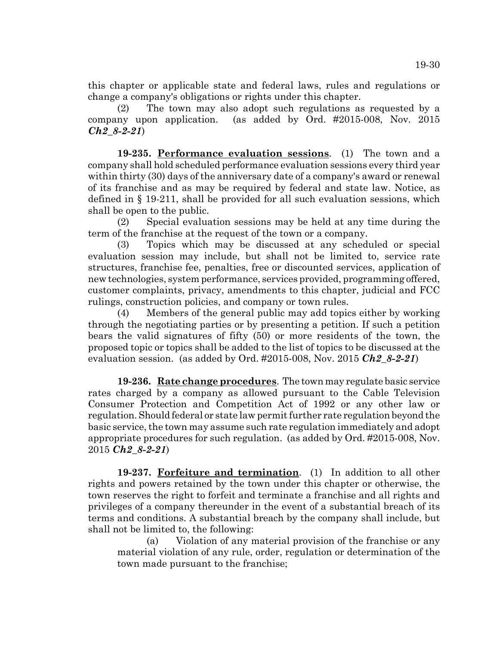this chapter or applicable state and federal laws, rules and regulations or change a company's obligations or rights under this chapter.

(2) The town may also adopt such regulations as requested by a company upon application. (as added by Ord. #2015-008, Nov. 2015 *Ch2\_8-2-21*)

**19-235. Performance evaluation sessions**. (1) The town and a company shall hold scheduled performance evaluation sessions every third year within thirty (30) days of the anniversary date of a company's award or renewal of its franchise and as may be required by federal and state law. Notice, as defined in § 19-211, shall be provided for all such evaluation sessions, which shall be open to the public.

(2) Special evaluation sessions may be held at any time during the term of the franchise at the request of the town or a company.

(3) Topics which may be discussed at any scheduled or special evaluation session may include, but shall not be limited to, service rate structures, franchise fee, penalties, free or discounted services, application of new technologies, system performance, services provided, programming offered, customer complaints, privacy, amendments to this chapter, judicial and FCC rulings, construction policies, and company or town rules.

(4) Members of the general public may add topics either by working through the negotiating parties or by presenting a petition. If such a petition bears the valid signatures of fifty (50) or more residents of the town, the proposed topic or topics shall be added to the list of topics to be discussed at the evaluation session. (as added by Ord. #2015-008, Nov. 2015 *Ch2\_8-2-21*)

**19-236. Rate change procedures**. The town may regulate basic service rates charged by a company as allowed pursuant to the Cable Television Consumer Protection and Competition Act of 1992 or any other law or regulation. Should federal or state law permit further rate regulation beyond the basic service, the town may assume such rate regulation immediately and adopt appropriate procedures for such regulation. (as added by Ord. #2015-008, Nov. 2015 *Ch2\_8-2-21*)

**19-237. Forfeiture and termination**. (1) In addition to all other rights and powers retained by the town under this chapter or otherwise, the town reserves the right to forfeit and terminate a franchise and all rights and privileges of a company thereunder in the event of a substantial breach of its terms and conditions. A substantial breach by the company shall include, but shall not be limited to, the following:

(a) Violation of any material provision of the franchise or any material violation of any rule, order, regulation or determination of the town made pursuant to the franchise;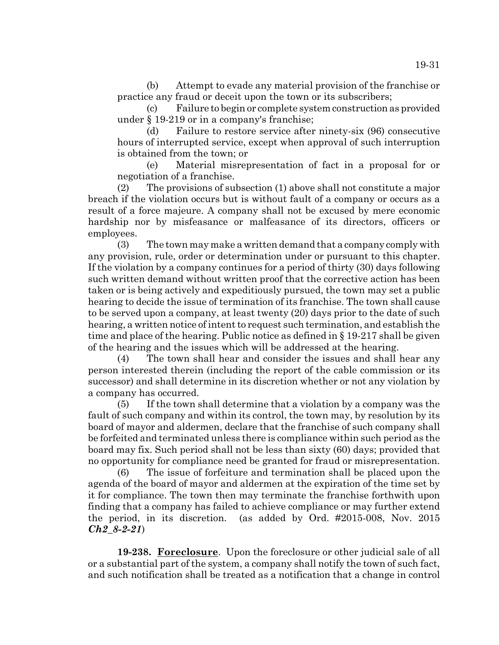(b) Attempt to evade any material provision of the franchise or practice any fraud or deceit upon the town or its subscribers;

(c) Failure to begin or complete system construction as provided under § 19-219 or in a company's franchise;

(d) Failure to restore service after ninety-six (96) consecutive hours of interrupted service, except when approval of such interruption is obtained from the town; or

(e) Material misrepresentation of fact in a proposal for or negotiation of a franchise.

(2) The provisions of subsection (1) above shall not constitute a major breach if the violation occurs but is without fault of a company or occurs as a result of a force majeure. A company shall not be excused by mere economic hardship nor by misfeasance or malfeasance of its directors, officers or employees.

(3) The town may make a written demand that a company comply with any provision, rule, order or determination under or pursuant to this chapter. If the violation by a company continues for a period of thirty (30) days following such written demand without written proof that the corrective action has been taken or is being actively and expeditiously pursued, the town may set a public hearing to decide the issue of termination of its franchise. The town shall cause to be served upon a company, at least twenty (20) days prior to the date of such hearing, a written notice of intent to request such termination, and establish the time and place of the hearing. Public notice as defined in § 19-217 shall be given of the hearing and the issues which will be addressed at the hearing.

(4) The town shall hear and consider the issues and shall hear any person interested therein (including the report of the cable commission or its successor) and shall determine in its discretion whether or not any violation by a company has occurred.

(5) If the town shall determine that a violation by a company was the fault of such company and within its control, the town may, by resolution by its board of mayor and aldermen, declare that the franchise of such company shall be forfeited and terminated unless there is compliance within such period as the board may fix. Such period shall not be less than sixty (60) days; provided that no opportunity for compliance need be granted for fraud or misrepresentation.

(6) The issue of forfeiture and termination shall be placed upon the agenda of the board of mayor and aldermen at the expiration of the time set by it for compliance. The town then may terminate the franchise forthwith upon finding that a company has failed to achieve compliance or may further extend the period, in its discretion. (as added by Ord. #2015-008, Nov. 2015 *Ch2\_8-2-21*)

**19-238. Foreclosure**. Upon the foreclosure or other judicial sale of all or a substantial part of the system, a company shall notify the town of such fact, and such notification shall be treated as a notification that a change in control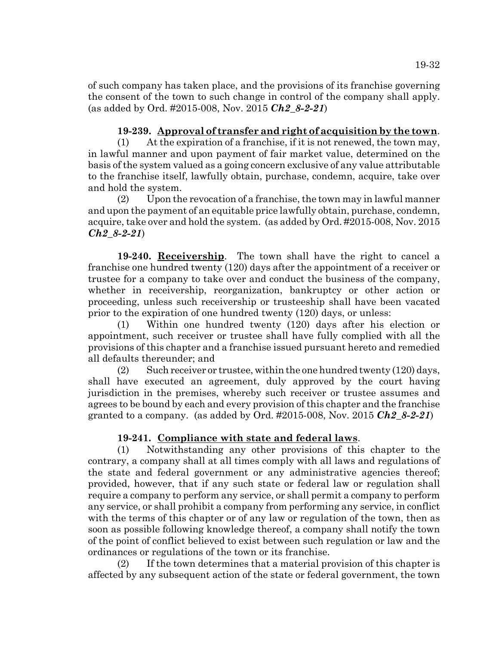of such company has taken place, and the provisions of its franchise governing the consent of the town to such change in control of the company shall apply. (as added by Ord. #2015-008, Nov. 2015 *Ch2\_8-2-21*)

# **19-239. Approval of transfer and right of acquisition by the town**.

(1) At the expiration of a franchise, if it is not renewed, the town may, in lawful manner and upon payment of fair market value, determined on the basis of the system valued as a going concern exclusive of any value attributable to the franchise itself, lawfully obtain, purchase, condemn, acquire, take over and hold the system.

(2) Upon the revocation of a franchise, the town may in lawful manner and upon the payment of an equitable price lawfully obtain, purchase, condemn, acquire, take over and hold the system. (as added by Ord. #2015-008, Nov. 2015 *Ch2\_8-2-21*)

**19-240. Receivership**. The town shall have the right to cancel a franchise one hundred twenty (120) days after the appointment of a receiver or trustee for a company to take over and conduct the business of the company, whether in receivership, reorganization, bankruptcy or other action or proceeding, unless such receivership or trusteeship shall have been vacated prior to the expiration of one hundred twenty (120) days, or unless:

(1) Within one hundred twenty (120) days after his election or appointment, such receiver or trustee shall have fully complied with all the provisions of this chapter and a franchise issued pursuant hereto and remedied all defaults thereunder; and

(2) Such receiver or trustee, within the one hundred twenty  $(120)$  days, shall have executed an agreement, duly approved by the court having jurisdiction in the premises, whereby such receiver or trustee assumes and agrees to be bound by each and every provision of this chapter and the franchise granted to a company. (as added by Ord. #2015-008, Nov. 2015 *Ch2\_8-2-21*)

# **19-241. Compliance with state and federal laws**.

(1) Notwithstanding any other provisions of this chapter to the contrary, a company shall at all times comply with all laws and regulations of the state and federal government or any administrative agencies thereof; provided, however, that if any such state or federal law or regulation shall require a company to perform any service, or shall permit a company to perform any service, or shall prohibit a company from performing any service, in conflict with the terms of this chapter or of any law or regulation of the town, then as soon as possible following knowledge thereof, a company shall notify the town of the point of conflict believed to exist between such regulation or law and the ordinances or regulations of the town or its franchise.

(2) If the town determines that a material provision of this chapter is affected by any subsequent action of the state or federal government, the town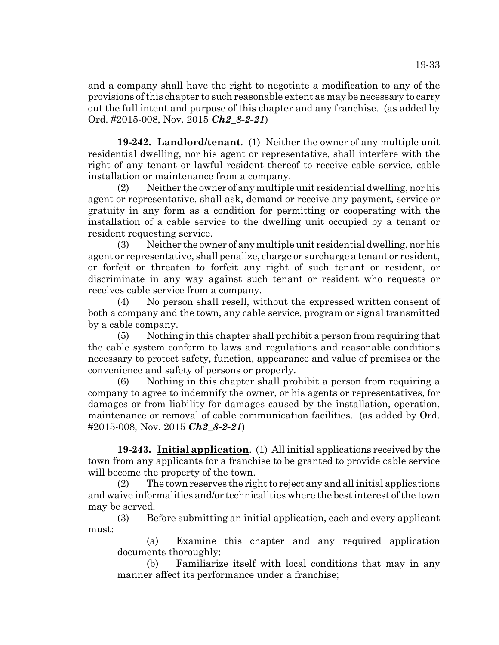and a company shall have the right to negotiate a modification to any of the provisions of this chapter to such reasonable extent as may be necessary to carry out the full intent and purpose of this chapter and any franchise. (as added by Ord. #2015-008, Nov. 2015 *Ch2\_8-2-21*)

**19-242. Landlord/tenant**. (1) Neither the owner of any multiple unit residential dwelling, nor his agent or representative, shall interfere with the right of any tenant or lawful resident thereof to receive cable service, cable installation or maintenance from a company.

(2) Neither the owner of any multiple unit residential dwelling, nor his agent or representative, shall ask, demand or receive any payment, service or gratuity in any form as a condition for permitting or cooperating with the installation of a cable service to the dwelling unit occupied by a tenant or resident requesting service.

(3) Neither the owner of any multiple unit residential dwelling, nor his agent or representative, shall penalize, charge or surcharge a tenant or resident, or forfeit or threaten to forfeit any right of such tenant or resident, or discriminate in any way against such tenant or resident who requests or receives cable service from a company.

(4) No person shall resell, without the expressed written consent of both a company and the town, any cable service, program or signal transmitted by a cable company.

(5) Nothing in this chapter shall prohibit a person from requiring that the cable system conform to laws and regulations and reasonable conditions necessary to protect safety, function, appearance and value of premises or the convenience and safety of persons or properly.

(6) Nothing in this chapter shall prohibit a person from requiring a company to agree to indemnify the owner, or his agents or representatives, for damages or from liability for damages caused by the installation, operation, maintenance or removal of cable communication facilities. (as added by Ord. #2015-008, Nov. 2015 *Ch2\_8-2-21*)

**19-243. Initial application**. (1) All initial applications received by the town from any applicants for a franchise to be granted to provide cable service will become the property of the town.

(2) The town reserves the right to reject any and all initial applications and waive informalities and/or technicalities where the best interest of the town may be served.

(3) Before submitting an initial application, each and every applicant must:

(a) Examine this chapter and any required application documents thoroughly;

(b) Familiarize itself with local conditions that may in any manner affect its performance under a franchise;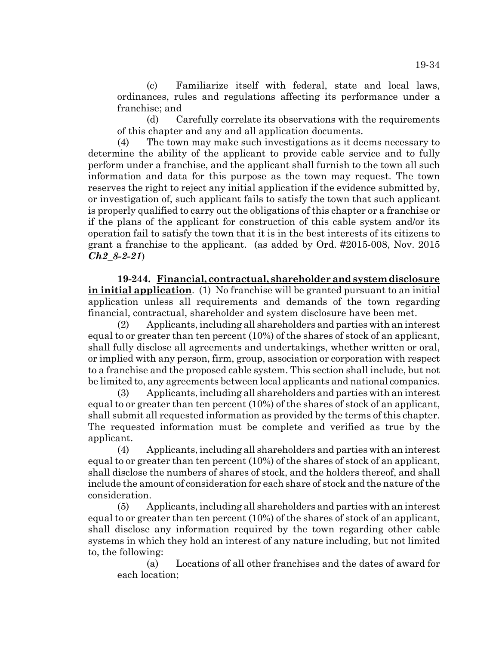(c) Familiarize itself with federal, state and local laws, ordinances, rules and regulations affecting its performance under a franchise; and

(d) Carefully correlate its observations with the requirements of this chapter and any and all application documents.

(4) The town may make such investigations as it deems necessary to determine the ability of the applicant to provide cable service and to fully perform under a franchise, and the applicant shall furnish to the town all such information and data for this purpose as the town may request. The town reserves the right to reject any initial application if the evidence submitted by, or investigation of, such applicant fails to satisfy the town that such applicant is properly qualified to carry out the obligations of this chapter or a franchise or if the plans of the applicant for construction of this cable system and/or its operation fail to satisfy the town that it is in the best interests of its citizens to grant a franchise to the applicant. (as added by Ord. #2015-008, Nov. 2015 *Ch2\_8-2-21*)

**19-244. Financial, contractual, shareholder and system disclosure in initial application**. (1) No franchise will be granted pursuant to an initial application unless all requirements and demands of the town regarding financial, contractual, shareholder and system disclosure have been met.

(2) Applicants, including all shareholders and parties with an interest equal to or greater than ten percent (10%) of the shares of stock of an applicant, shall fully disclose all agreements and undertakings, whether written or oral, or implied with any person, firm, group, association or corporation with respect to a franchise and the proposed cable system. This section shall include, but not be limited to, any agreements between local applicants and national companies.

(3) Applicants, including all shareholders and parties with an interest equal to or greater than ten percent (10%) of the shares of stock of an applicant, shall submit all requested information as provided by the terms of this chapter. The requested information must be complete and verified as true by the applicant.

(4) Applicants, including all shareholders and parties with an interest equal to or greater than ten percent (10%) of the shares of stock of an applicant, shall disclose the numbers of shares of stock, and the holders thereof, and shall include the amount of consideration for each share of stock and the nature of the consideration.

(5) Applicants, including all shareholders and parties with an interest equal to or greater than ten percent  $(10%)$  of the shares of stock of an applicant, shall disclose any information required by the town regarding other cable systems in which they hold an interest of any nature including, but not limited to, the following:

(a) Locations of all other franchises and the dates of award for each location;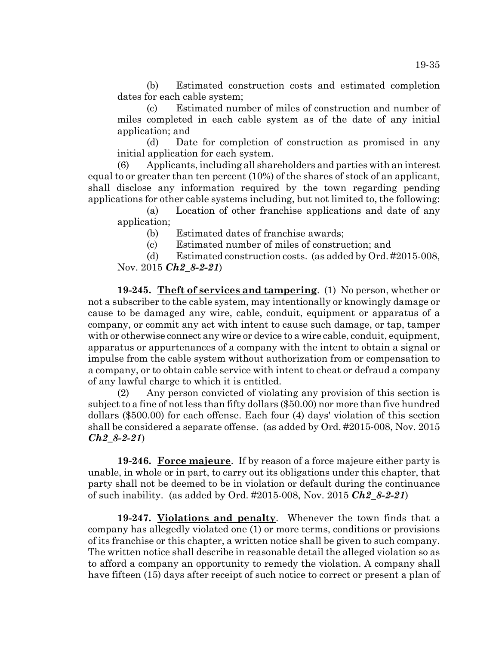(b) Estimated construction costs and estimated completion dates for each cable system;

(c) Estimated number of miles of construction and number of miles completed in each cable system as of the date of any initial application; and

(d) Date for completion of construction as promised in any initial application for each system.

(6) Applicants, including all shareholders and parties with an interest equal to or greater than ten percent (10%) of the shares of stock of an applicant, shall disclose any information required by the town regarding pending applications for other cable systems including, but not limited to, the following:

(a) Location of other franchise applications and date of any application;

(b) Estimated dates of franchise awards;

(c) Estimated number of miles of construction; and

(d) Estimated construction costs. (as added by Ord. #2015-008, Nov. 2015 *Ch2\_8-2-21*)

**19-245. Theft of services and tampering**. (1) No person, whether or not a subscriber to the cable system, may intentionally or knowingly damage or cause to be damaged any wire, cable, conduit, equipment or apparatus of a company, or commit any act with intent to cause such damage, or tap, tamper with or otherwise connect any wire or device to a wire cable, conduit, equipment, apparatus or appurtenances of a company with the intent to obtain a signal or impulse from the cable system without authorization from or compensation to a company, or to obtain cable service with intent to cheat or defraud a company of any lawful charge to which it is entitled.

(2) Any person convicted of violating any provision of this section is subject to a fine of not less than fifty dollars (\$50.00) nor more than five hundred dollars (\$500.00) for each offense. Each four (4) days' violation of this section shall be considered a separate offense. (as added by Ord. #2015-008, Nov. 2015 *Ch2\_8-2-21*)

**19-246. Force majeure**. If by reason of a force majeure either party is unable, in whole or in part, to carry out its obligations under this chapter, that party shall not be deemed to be in violation or default during the continuance of such inability. (as added by Ord. #2015-008, Nov. 2015 *Ch2\_8-2-21*)

**19-247. Violations and penalty**. Whenever the town finds that a company has allegedly violated one (1) or more terms, conditions or provisions of its franchise or this chapter, a written notice shall be given to such company. The written notice shall describe in reasonable detail the alleged violation so as to afford a company an opportunity to remedy the violation. A company shall have fifteen (15) days after receipt of such notice to correct or present a plan of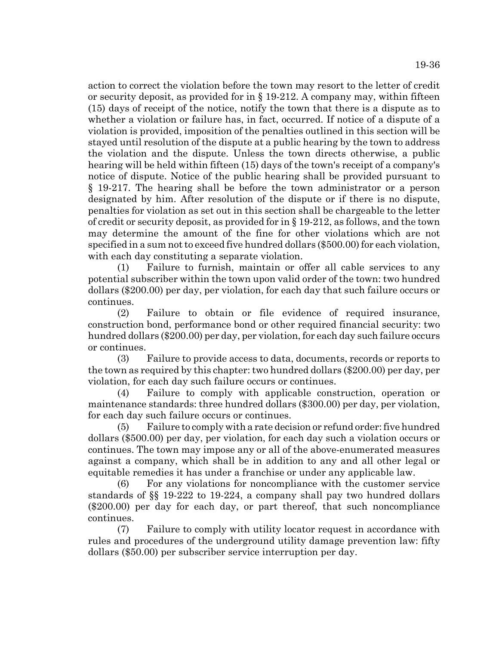action to correct the violation before the town may resort to the letter of credit or security deposit, as provided for in § 19-212. A company may, within fifteen (15) days of receipt of the notice, notify the town that there is a dispute as to whether a violation or failure has, in fact, occurred. If notice of a dispute of a violation is provided, imposition of the penalties outlined in this section will be stayed until resolution of the dispute at a public hearing by the town to address the violation and the dispute. Unless the town directs otherwise, a public hearing will be held within fifteen (15) days of the town's receipt of a company's notice of dispute. Notice of the public hearing shall be provided pursuant to § 19-217. The hearing shall be before the town administrator or a person designated by him. After resolution of the dispute or if there is no dispute, penalties for violation as set out in this section shall be chargeable to the letter of credit or security deposit, as provided for in § 19-212, as follows, and the town may determine the amount of the fine for other violations which are not specified in a sum not to exceed five hundred dollars (\$500.00) for each violation, with each day constituting a separate violation.

(1) Failure to furnish, maintain or offer all cable services to any potential subscriber within the town upon valid order of the town: two hundred dollars (\$200.00) per day, per violation, for each day that such failure occurs or continues.

(2) Failure to obtain or file evidence of required insurance, construction bond, performance bond or other required financial security: two hundred dollars (\$200.00) per day, per violation, for each day such failure occurs or continues.

(3) Failure to provide access to data, documents, records or reports to the town as required by this chapter: two hundred dollars (\$200.00) per day, per violation, for each day such failure occurs or continues.

(4) Failure to comply with applicable construction, operation or maintenance standards: three hundred dollars (\$300.00) per day, per violation, for each day such failure occurs or continues.

(5) Failure to comply with a rate decision or refund order: five hundred dollars (\$500.00) per day, per violation, for each day such a violation occurs or continues. The town may impose any or all of the above-enumerated measures against a company, which shall be in addition to any and all other legal or equitable remedies it has under a franchise or under any applicable law.

(6) For any violations for noncompliance with the customer service standards of §§ 19-222 to 19-224, a company shall pay two hundred dollars (\$200.00) per day for each day, or part thereof, that such noncompliance continues.

(7) Failure to comply with utility locator request in accordance with rules and procedures of the underground utility damage prevention law: fifty dollars (\$50.00) per subscriber service interruption per day.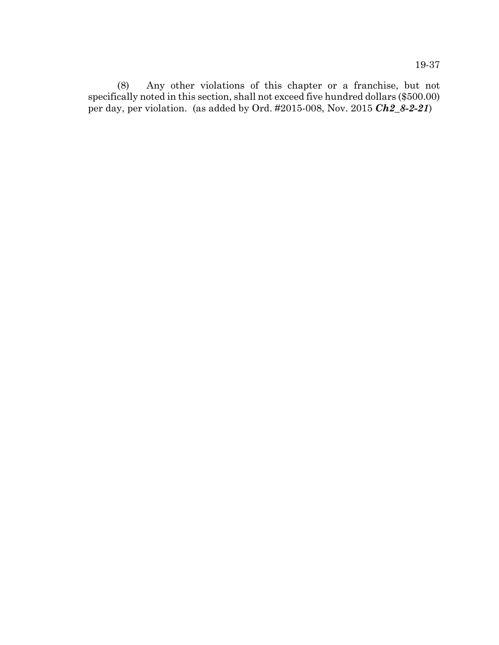(8) Any other violations of this chapter or a franchise, but not specifically noted in this section, shall not exceed five hundred dollars (\$500.00) per day, per violation. (as added by Ord. #2015-008, Nov. 2015 *Ch2\_8-2-21*)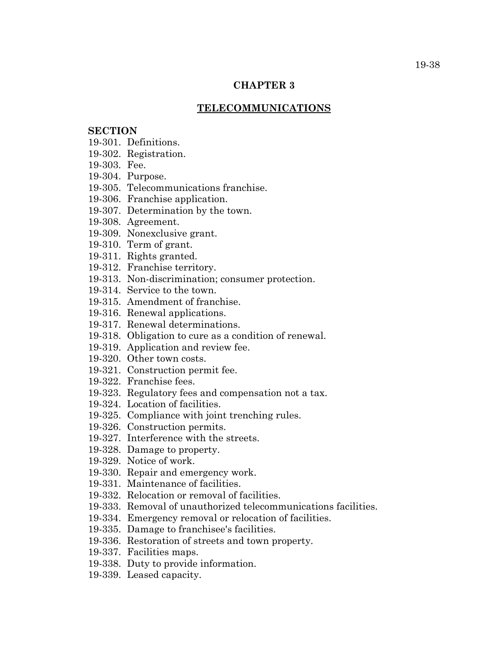### **CHAPTER 3**

#### **TELECOMMUNICATIONS**

## **SECTION**

- 19-301. Definitions.
- 19-302. Registration.
- 19-303. Fee.
- 19-304. Purpose.
- 19-305. Telecommunications franchise.
- 19-306. Franchise application.
- 19-307. Determination by the town.
- 19-308. Agreement.
- 19-309. Nonexclusive grant.
- 19-310. Term of grant.
- 19-311. Rights granted.
- 19-312. Franchise territory.
- 19-313. Non-discrimination; consumer protection.
- 19-314. Service to the town.
- 19-315. Amendment of franchise.
- 19-316. Renewal applications.
- 19-317. Renewal determinations.
- 19-318. Obligation to cure as a condition of renewal.
- 19-319. Application and review fee.
- 19-320. Other town costs.
- 19-321. Construction permit fee.
- 19-322. Franchise fees.
- 19-323. Regulatory fees and compensation not a tax.
- 19-324. Location of facilities.
- 19-325. Compliance with joint trenching rules.
- 19-326. Construction permits.
- 19-327. Interference with the streets.
- 19-328. Damage to property.
- 19-329. Notice of work.
- 19-330. Repair and emergency work.
- 19-331. Maintenance of facilities.
- 19-332. Relocation or removal of facilities.
- 19-333. Removal of unauthorized telecommunications facilities.
- 19-334. Emergency removal or relocation of facilities.
- 19-335. Damage to franchisee's facilities.
- 19-336. Restoration of streets and town property.
- 19-337. Facilities maps.
- 19-338. Duty to provide information.
- 19-339. Leased capacity.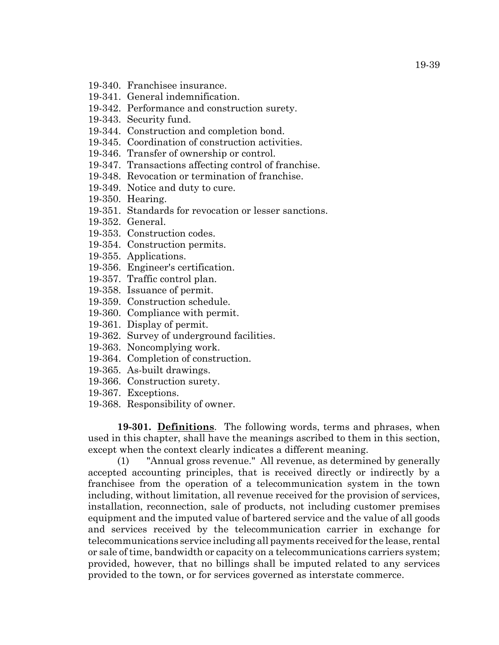- 19-340. Franchisee insurance.
- 19-341. General indemnification.
- 19-342. Performance and construction surety.
- 19-343. Security fund.
- 19-344. Construction and completion bond.
- 19-345. Coordination of construction activities.
- 19-346. Transfer of ownership or control.
- 19-347. Transactions affecting control of franchise.
- 19-348. Revocation or termination of franchise.
- 19-349. Notice and duty to cure.
- 19-350. Hearing.
- 19-351. Standards for revocation or lesser sanctions.
- 19-352. General.
- 19-353. Construction codes.
- 19-354. Construction permits.
- 19-355. Applications.
- 19-356. Engineer's certification.
- 19-357. Traffic control plan.
- 19-358. Issuance of permit.
- 19-359. Construction schedule.
- 19-360. Compliance with permit.
- 19-361. Display of permit.
- 19-362. Survey of underground facilities.
- 19-363. Noncomplying work.
- 19-364. Completion of construction.
- 19-365. As-built drawings.
- 19-366. Construction surety.
- 19-367. Exceptions.
- 19-368. Responsibility of owner.

**19-301. Definitions**. The following words, terms and phrases, when used in this chapter, shall have the meanings ascribed to them in this section, except when the context clearly indicates a different meaning.

(1) "Annual gross revenue." All revenue, as determined by generally accepted accounting principles, that is received directly or indirectly by a franchisee from the operation of a telecommunication system in the town including, without limitation, all revenue received for the provision of services, installation, reconnection, sale of products, not including customer premises equipment and the imputed value of bartered service and the value of all goods and services received by the telecommunication carrier in exchange for telecommunications service including all payments received for the lease, rental or sale of time, bandwidth or capacity on a telecommunications carriers system; provided, however, that no billings shall be imputed related to any services provided to the town, or for services governed as interstate commerce.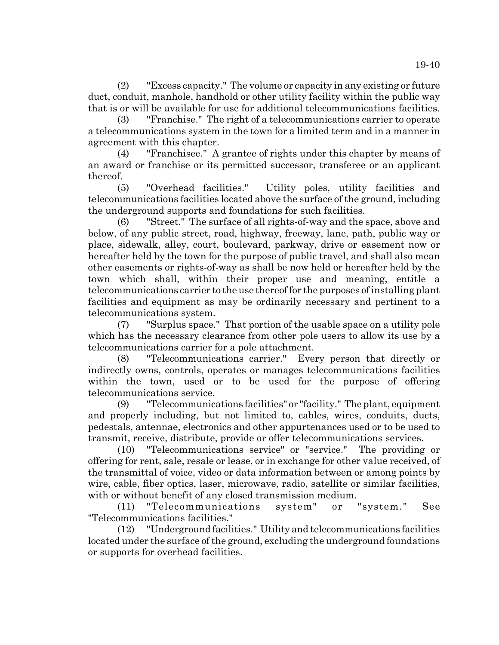(2) "Excess capacity." The volume or capacity in any existing or future duct, conduit, manhole, handhold or other utility facility within the public way that is or will be available for use for additional telecommunications facilities.

(3) "Franchise." The right of a telecommunications carrier to operate a telecommunications system in the town for a limited term and in a manner in agreement with this chapter.

(4) "Franchisee." A grantee of rights under this chapter by means of an award or franchise or its permitted successor, transferee or an applicant thereof.

(5) "Overhead facilities." Utility poles, utility facilities and telecommunications facilities located above the surface of the ground, including the underground supports and foundations for such facilities.

(6) "Street." The surface of all rights-of-way and the space, above and below, of any public street, road, highway, freeway, lane, path, public way or place, sidewalk, alley, court, boulevard, parkway, drive or easement now or hereafter held by the town for the purpose of public travel, and shall also mean other easements or rights-of-way as shall be now held or hereafter held by the town which shall, within their proper use and meaning, entitle a telecommunications carrier to the use thereof for the purposes of installing plant facilities and equipment as may be ordinarily necessary and pertinent to a telecommunications system.

(7) "Surplus space." That portion of the usable space on a utility pole which has the necessary clearance from other pole users to allow its use by a telecommunications carrier for a pole attachment.

(8) "Telecommunications carrier." Every person that directly or indirectly owns, controls, operates or manages telecommunications facilities within the town, used or to be used for the purpose of offering telecommunications service.

(9) "Telecommunications facilities" or "facility." The plant, equipment and properly including, but not limited to, cables, wires, conduits, ducts, pedestals, antennae, electronics and other appurtenances used or to be used to transmit, receive, distribute, provide or offer telecommunications services.

(10) "Telecommunications service" or "service." The providing or offering for rent, sale, resale or lease, or in exchange for other value received, of the transmittal of voice, video or data information between or among points by wire, cable, fiber optics, laser, microwave, radio, satellite or similar facilities, with or without benefit of any closed transmission medium.

(11) "Telecommunications system" or "system." See "Telecommunications facilities."

(12) "Underground facilities." Utility and telecommunications facilities located under the surface of the ground, excluding the underground foundations or supports for overhead facilities.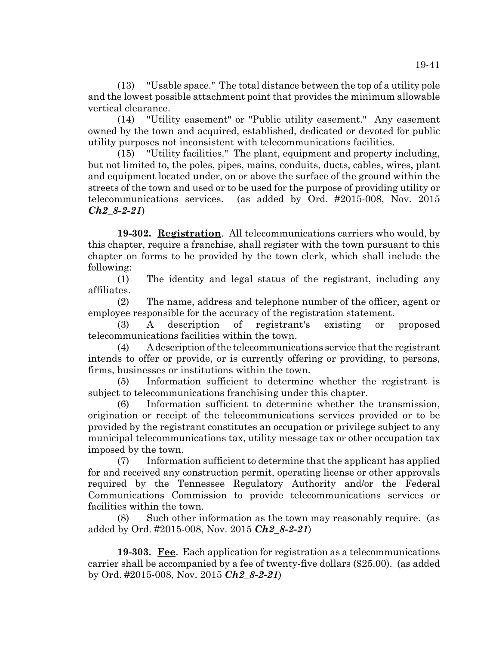(13) "Usable space." The total distance between the top of a utility pole and the lowest possible attachment point that provides the minimum allowable vertical clearance.

(14) "Utility easement" or "Public utility easement." Any easement owned by the town and acquired, established, dedicated or devoted for public utility purposes not inconsistent with telecommunications facilities.

(15) "Utility facilities." The plant, equipment and property including, but not limited to, the poles, pipes, mains, conduits, ducts, cables, wires, plant and equipment located under, on or above the surface of the ground within the streets of the town and used or to be used for the purpose of providing utility or telecommunications services. (as added by Ord. #2015-008, Nov. 2015 *Ch2\_8-2-21*)

**19-302. Registration**. All telecommunications carriers who would, by this chapter, require a franchise, shall register with the town pursuant to this chapter on forms to be provided by the town clerk, which shall include the following:

(1) The identity and legal status of the registrant, including any affiliates.

(2) The name, address and telephone number of the officer, agent or employee responsible for the accuracy of the registration statement.

(3) A description of registrant's existing or proposed telecommunications facilities within the town.

(4) A description of the telecommunications service that the registrant intends to offer or provide, or is currently offering or providing, to persons, firms, businesses or institutions within the town.

(5) Information sufficient to determine whether the registrant is subject to telecommunications franchising under this chapter.

(6) Information sufficient to determine whether the transmission, origination or receipt of the telecommunications services provided or to be provided by the registrant constitutes an occupation or privilege subject to any municipal telecommunications tax, utility message tax or other occupation tax imposed by the town.

(7) Information sufficient to determine that the applicant has applied for and received any construction permit, operating license or other approvals required by the Tennessee Regulatory Authority and/or the Federal Communications Commission to provide telecommunications services or facilities within the town.

(8) Such other information as the town may reasonably require. (as added by Ord. #2015-008, Nov. 2015 *Ch2\_8-2-21*)

**19-303. Fee**. Each application for registration as a telecommunications carrier shall be accompanied by a fee of twenty-five dollars (\$25.00). (as added by Ord. #2015-008, Nov. 2015 *Ch2\_8-2-21*)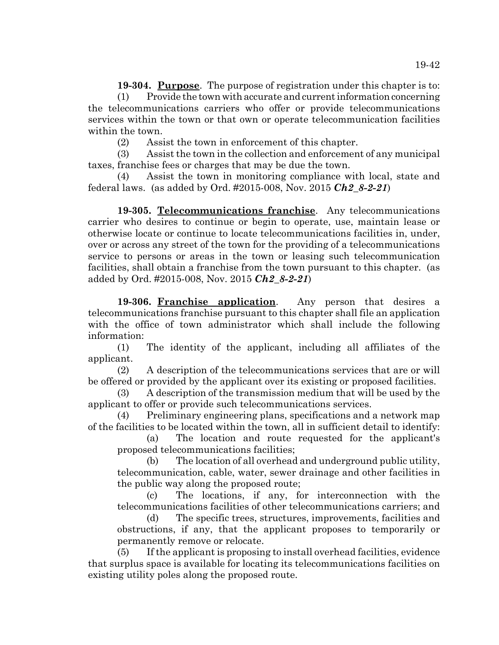**19-304. Purpose**. The purpose of registration under this chapter is to:

(1) Provide the town with accurate and current information concerning the telecommunications carriers who offer or provide telecommunications services within the town or that own or operate telecommunication facilities within the town.

(2) Assist the town in enforcement of this chapter.

(3) Assist the town in the collection and enforcement of any municipal taxes, franchise fees or charges that may be due the town.

(4) Assist the town in monitoring compliance with local, state and federal laws. (as added by Ord. #2015-008, Nov. 2015 *Ch2\_8-2-21*)

**19-305. Telecommunications franchise**. Any telecommunications carrier who desires to continue or begin to operate, use, maintain lease or otherwise locate or continue to locate telecommunications facilities in, under, over or across any street of the town for the providing of a telecommunications service to persons or areas in the town or leasing such telecommunication facilities, shall obtain a franchise from the town pursuant to this chapter. (as added by Ord. #2015-008, Nov. 2015 *Ch2\_8-2-21*)

**19-306. Franchise application**. Any person that desires a telecommunications franchise pursuant to this chapter shall file an application with the office of town administrator which shall include the following information:

(1) The identity of the applicant, including all affiliates of the applicant.

(2) A description of the telecommunications services that are or will be offered or provided by the applicant over its existing or proposed facilities.

(3) A description of the transmission medium that will be used by the applicant to offer or provide such telecommunications services.

(4) Preliminary engineering plans, specifications and a network map of the facilities to be located within the town, all in sufficient detail to identify:

(a) The location and route requested for the applicant's proposed telecommunications facilities;

(b) The location of all overhead and underground public utility, telecommunication, cable, water, sewer drainage and other facilities in the public way along the proposed route;

(c) The locations, if any, for interconnection with the telecommunications facilities of other telecommunications carriers; and

(d) The specific trees, structures, improvements, facilities and obstructions, if any, that the applicant proposes to temporarily or permanently remove or relocate.

(5) If the applicant is proposing to install overhead facilities, evidence that surplus space is available for locating its telecommunications facilities on existing utility poles along the proposed route.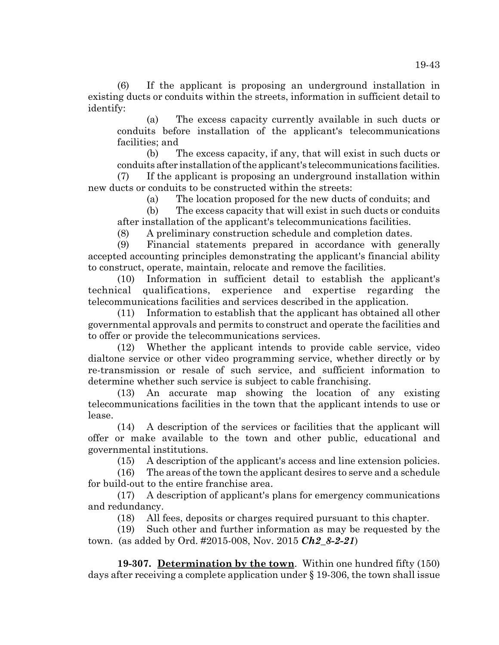(6) If the applicant is proposing an underground installation in existing ducts or conduits within the streets, information in sufficient detail to identify:

(a) The excess capacity currently available in such ducts or conduits before installation of the applicant's telecommunications facilities; and

(b) The excess capacity, if any, that will exist in such ducts or conduits after installation of the applicant's telecommunications facilities.

(7) If the applicant is proposing an underground installation within new ducts or conduits to be constructed within the streets:

(a) The location proposed for the new ducts of conduits; and

(b) The excess capacity that will exist in such ducts or conduits after installation of the applicant's telecommunications facilities.

(8) A preliminary construction schedule and completion dates.

(9) Financial statements prepared in accordance with generally accepted accounting principles demonstrating the applicant's financial ability to construct, operate, maintain, relocate and remove the facilities.

(10) Information in sufficient detail to establish the applicant's technical qualifications, experience and expertise regarding the telecommunications facilities and services described in the application.

(11) Information to establish that the applicant has obtained all other governmental approvals and permits to construct and operate the facilities and to offer or provide the telecommunications services.

(12) Whether the applicant intends to provide cable service, video dialtone service or other video programming service, whether directly or by re-transmission or resale of such service, and sufficient information to determine whether such service is subject to cable franchising.

(13) An accurate map showing the location of any existing telecommunications facilities in the town that the applicant intends to use or lease.

(14) A description of the services or facilities that the applicant will offer or make available to the town and other public, educational and governmental institutions.

(15) A description of the applicant's access and line extension policies.

(16) The areas of the town the applicant desires to serve and a schedule for build-out to the entire franchise area.

(17) A description of applicant's plans for emergency communications and redundancy.

(18) All fees, deposits or charges required pursuant to this chapter.

(19) Such other and further information as may be requested by the town. (as added by Ord. #2015-008, Nov. 2015 *Ch2\_8-2-21*)

**19-307. Determination by the town**. Within one hundred fifty (150) days after receiving a complete application under § 19-306, the town shall issue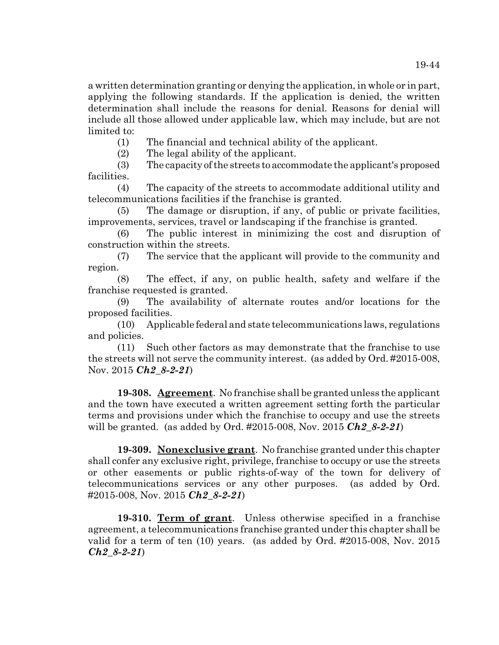a written determination granting or denying the application, in whole or in part, applying the following standards. If the application is denied, the written determination shall include the reasons for denial. Reasons for denial will include all those allowed under applicable law, which may include, but are not limited to:

(1) The financial and technical ability of the applicant.

(2) The legal ability of the applicant.

(3) The capacity of the streets to accommodate the applicant's proposed facilities.

(4) The capacity of the streets to accommodate additional utility and telecommunications facilities if the franchise is granted.

(5) The damage or disruption, if any, of public or private facilities, improvements, services, travel or landscaping if the franchise is granted.

(6) The public interest in minimizing the cost and disruption of construction within the streets.

(7) The service that the applicant will provide to the community and region.

(8) The effect, if any, on public health, safety and welfare if the franchise requested is granted.

(9) The availability of alternate routes and/or locations for the proposed facilities.

(10) Applicable federal and state telecommunications laws, regulations and policies.

(11) Such other factors as may demonstrate that the franchise to use the streets will not serve the community interest. (as added by Ord. #2015-008, Nov. 2015 *Ch2\_8-2-21*)

**19-308. Agreement**. No franchise shall be granted unless the applicant and the town have executed a written agreement setting forth the particular terms and provisions under which the franchise to occupy and use the streets will be granted. (as added by Ord. #2015-008, Nov. 2015 *Ch2\_8-2-21*)

**19-309. Nonexclusive grant**. No franchise granted under this chapter shall confer any exclusive right, privilege, franchise to occupy or use the streets or other easements or public rights-of-way of the town for delivery of telecommunications services or any other purposes. (as added by Ord. #2015-008, Nov. 2015 *Ch2\_8-2-21*)

**19-310. Term of grant**. Unless otherwise specified in a franchise agreement, a telecommunications franchise granted under this chapter shall be valid for a term of ten (10) years. (as added by Ord. #2015-008, Nov. 2015 *Ch2\_8-2-21*)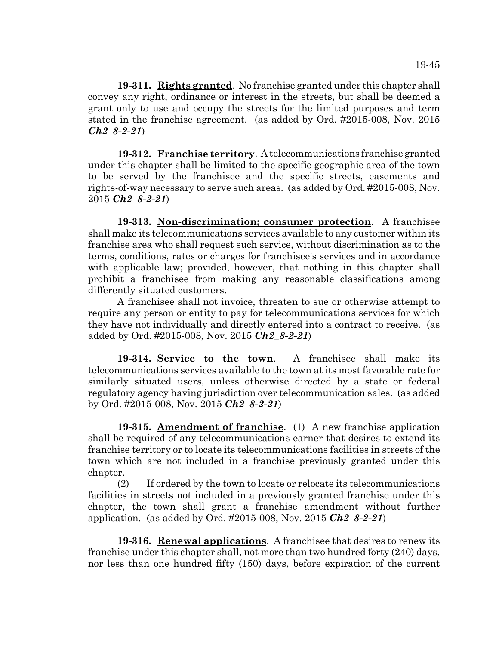**19-311. Rights granted**. No franchise granted under this chapter shall convey any right, ordinance or interest in the streets, but shall be deemed a grant only to use and occupy the streets for the limited purposes and term stated in the franchise agreement. (as added by Ord. #2015-008, Nov. 2015 *Ch2\_8-2-21*)

**19-312. Franchise territory**. A telecommunications franchise granted under this chapter shall be limited to the specific geographic area of the town to be served by the franchisee and the specific streets, easements and rights-of-way necessary to serve such areas. (as added by Ord. #2015-008, Nov. 2015 *Ch2\_8-2-21*)

**19-313. Non-discrimination; consumer protection**. A franchisee shall make its telecommunications services available to any customer within its franchise area who shall request such service, without discrimination as to the terms, conditions, rates or charges for franchisee's services and in accordance with applicable law; provided, however, that nothing in this chapter shall prohibit a franchisee from making any reasonable classifications among differently situated customers.

A franchisee shall not invoice, threaten to sue or otherwise attempt to require any person or entity to pay for telecommunications services for which they have not individually and directly entered into a contract to receive. (as added by Ord. #2015-008, Nov. 2015 *Ch2\_8-2-21*)

**19-314. Service to the town**. A franchisee shall make its telecommunications services available to the town at its most favorable rate for similarly situated users, unless otherwise directed by a state or federal regulatory agency having jurisdiction over telecommunication sales. (as added by Ord. #2015-008, Nov. 2015 *Ch2\_8-2-21*)

**19-315. Amendment of franchise**. (1) A new franchise application shall be required of any telecommunications earner that desires to extend its franchise territory or to locate its telecommunications facilities in streets of the town which are not included in a franchise previously granted under this chapter.

(2) If ordered by the town to locate or relocate its telecommunications facilities in streets not included in a previously granted franchise under this chapter, the town shall grant a franchise amendment without further application. (as added by Ord. #2015-008, Nov. 2015 *Ch2\_8-2-21*)

**19-316. Renewal applications**. A franchisee that desires to renew its franchise under this chapter shall, not more than two hundred forty (240) days, nor less than one hundred fifty (150) days, before expiration of the current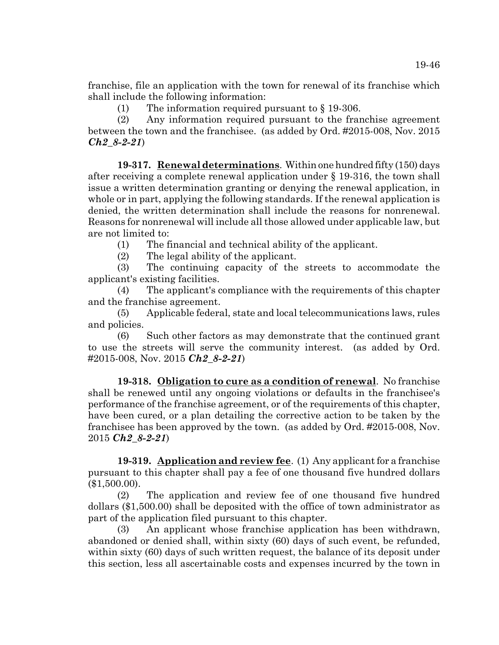franchise, file an application with the town for renewal of its franchise which shall include the following information:

(1) The information required pursuant to  $\S$  19-306.

(2) Any information required pursuant to the franchise agreement between the town and the franchisee. (as added by Ord. #2015-008, Nov. 2015 *Ch2\_8-2-21*)

**19-317. Renewal determinations**. Within one hundred fifty (150) days after receiving a complete renewal application under § 19-316, the town shall issue a written determination granting or denying the renewal application, in whole or in part, applying the following standards. If the renewal application is denied, the written determination shall include the reasons for nonrenewal. Reasons for nonrenewal will include all those allowed under applicable law, but are not limited to:

(1) The financial and technical ability of the applicant.

(2) The legal ability of the applicant.

(3) The continuing capacity of the streets to accommodate the applicant's existing facilities.

(4) The applicant's compliance with the requirements of this chapter and the franchise agreement.

(5) Applicable federal, state and local telecommunications laws, rules and policies.

(6) Such other factors as may demonstrate that the continued grant to use the streets will serve the community interest. (as added by Ord. #2015-008, Nov. 2015 *Ch2\_8-2-21*)

**19-318. Obligation to cure as a condition of renewal**. No franchise shall be renewed until any ongoing violations or defaults in the franchisee's performance of the franchise agreement, or of the requirements of this chapter, have been cured, or a plan detailing the corrective action to be taken by the franchisee has been approved by the town. (as added by Ord. #2015-008, Nov. 2015 *Ch2\_8-2-21*)

**19-319. Application and review fee**. (1) Any applicant for a franchise pursuant to this chapter shall pay a fee of one thousand five hundred dollars (\$1,500.00).

(2) The application and review fee of one thousand five hundred dollars (\$1,500.00) shall be deposited with the office of town administrator as part of the application filed pursuant to this chapter.

(3) An applicant whose franchise application has been withdrawn, abandoned or denied shall, within sixty (60) days of such event, be refunded, within sixty (60) days of such written request, the balance of its deposit under this section, less all ascertainable costs and expenses incurred by the town in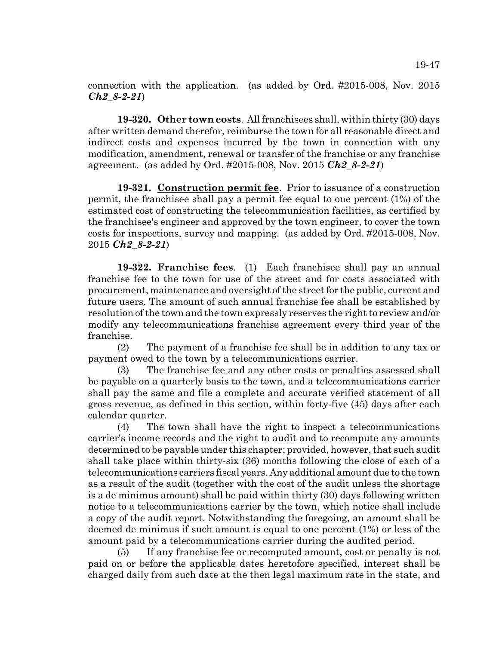connection with the application. (as added by Ord. #2015-008, Nov. 2015 *Ch2\_8-2-21*)

**19-320. Other town costs**. All franchisees shall, within thirty (30) days after written demand therefor, reimburse the town for all reasonable direct and indirect costs and expenses incurred by the town in connection with any modification, amendment, renewal or transfer of the franchise or any franchise agreement. (as added by Ord. #2015-008, Nov. 2015 *Ch2\_8-2-21*)

**19-321. Construction permit fee**. Prior to issuance of a construction permit, the franchisee shall pay a permit fee equal to one percent (1%) of the estimated cost of constructing the telecommunication facilities, as certified by the franchisee's engineer and approved by the town engineer, to cover the town costs for inspections, survey and mapping. (as added by Ord. #2015-008, Nov. 2015 *Ch2\_8-2-21*)

**19-322. Franchise fees**. (1) Each franchisee shall pay an annual franchise fee to the town for use of the street and for costs associated with procurement, maintenance and oversight of the street for the public, current and future users. The amount of such annual franchise fee shall be established by resolution of the town and the town expressly reserves the right to review and/or modify any telecommunications franchise agreement every third year of the franchise.

(2) The payment of a franchise fee shall be in addition to any tax or payment owed to the town by a telecommunications carrier.

(3) The franchise fee and any other costs or penalties assessed shall be payable on a quarterly basis to the town, and a telecommunications carrier shall pay the same and file a complete and accurate verified statement of all gross revenue, as defined in this section, within forty-five (45) days after each calendar quarter.

(4) The town shall have the right to inspect a telecommunications carrier's income records and the right to audit and to recompute any amounts determined to be payable under this chapter; provided, however, that such audit shall take place within thirty-six (36) months following the close of each of a telecommunications carriers fiscal years. Any additional amount due to the town as a result of the audit (together with the cost of the audit unless the shortage is a de minimus amount) shall be paid within thirty (30) days following written notice to a telecommunications carrier by the town, which notice shall include a copy of the audit report. Notwithstanding the foregoing, an amount shall be deemed de minimus if such amount is equal to one percent (1%) or less of the amount paid by a telecommunications carrier during the audited period.

(5) If any franchise fee or recomputed amount, cost or penalty is not paid on or before the applicable dates heretofore specified, interest shall be charged daily from such date at the then legal maximum rate in the state, and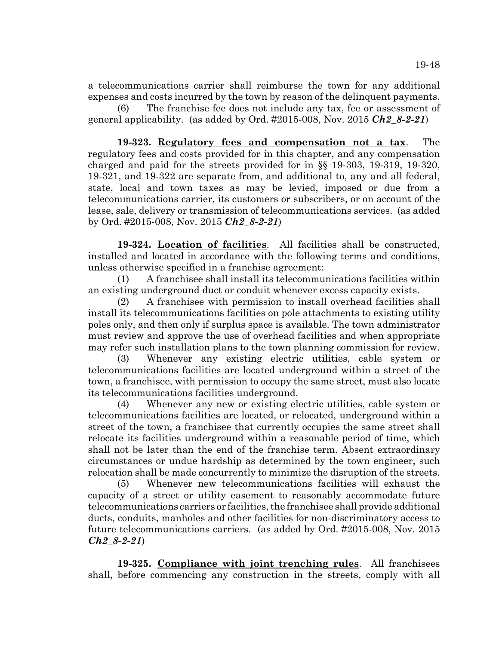a telecommunications carrier shall reimburse the town for any additional expenses and costs incurred by the town by reason of the delinquent payments.

(6) The franchise fee does not include any tax, fee or assessment of general applicability. (as added by Ord. #2015-008, Nov. 2015 *Ch2\_8-2-21*)

**19-323. Regulatory fees and compensation not a tax**. The regulatory fees and costs provided for in this chapter, and any compensation charged and paid for the streets provided for in §§ 19-303, 19-319, 19-320, 19-321, and 19-322 are separate from, and additional to, any and all federal, state, local and town taxes as may be levied, imposed or due from a telecommunications carrier, its customers or subscribers, or on account of the lease, sale, delivery or transmission of telecommunications services. (as added by Ord. #2015-008, Nov. 2015 *Ch2\_8-2-21*)

**19-324. Location of facilities**. All facilities shall be constructed, installed and located in accordance with the following terms and conditions, unless otherwise specified in a franchise agreement:

(1) A franchisee shall install its telecommunications facilities within an existing underground duct or conduit whenever excess capacity exists.

(2) A franchisee with permission to install overhead facilities shall install its telecommunications facilities on pole attachments to existing utility poles only, and then only if surplus space is available. The town administrator must review and approve the use of overhead facilities and when appropriate may refer such installation plans to the town planning commission for review.

(3) Whenever any existing electric utilities, cable system or telecommunications facilities are located underground within a street of the town, a franchisee, with permission to occupy the same street, must also locate its telecommunications facilities underground.

(4) Whenever any new or existing electric utilities, cable system or telecommunications facilities are located, or relocated, underground within a street of the town, a franchisee that currently occupies the same street shall relocate its facilities underground within a reasonable period of time, which shall not be later than the end of the franchise term. Absent extraordinary circumstances or undue hardship as determined by the town engineer, such relocation shall be made concurrently to minimize the disruption of the streets.

(5) Whenever new telecommunications facilities will exhaust the capacity of a street or utility easement to reasonably accommodate future telecommunications carriers or facilities, the franchisee shall provide additional ducts, conduits, manholes and other facilities for non-discriminatory access to future telecommunications carriers. (as added by Ord. #2015-008, Nov. 2015 *Ch2\_8-2-21*)

**19-325. Compliance with joint trenching rules**. All franchisees shall, before commencing any construction in the streets, comply with all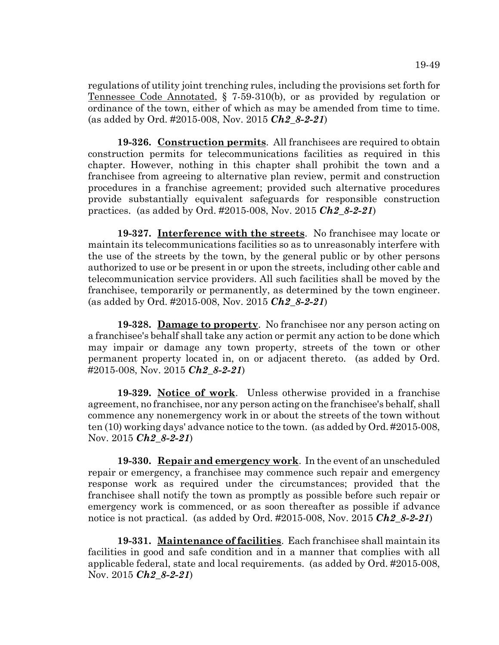regulations of utility joint trenching rules, including the provisions set forth for Tennessee Code Annotated, § 7-59-310(b), or as provided by regulation or ordinance of the town, either of which as may be amended from time to time. (as added by Ord. #2015-008, Nov. 2015 *Ch2\_8-2-21*)

**19-326. Construction permits**. All franchisees are required to obtain construction permits for telecommunications facilities as required in this chapter. However, nothing in this chapter shall prohibit the town and a franchisee from agreeing to alternative plan review, permit and construction procedures in a franchise agreement; provided such alternative procedures provide substantially equivalent safeguards for responsible construction practices. (as added by Ord. #2015-008, Nov. 2015 *Ch2\_8-2-21*)

**19-327. Interference with the streets**. No franchisee may locate or maintain its telecommunications facilities so as to unreasonably interfere with the use of the streets by the town, by the general public or by other persons authorized to use or be present in or upon the streets, including other cable and telecommunication service providers. All such facilities shall be moved by the franchisee, temporarily or permanently, as determined by the town engineer. (as added by Ord. #2015-008, Nov. 2015 *Ch2\_8-2-21*)

**19-328. Damage to property**. No franchisee nor any person acting on a franchisee's behalf shall take any action or permit any action to be done which may impair or damage any town property, streets of the town or other permanent property located in, on or adjacent thereto. (as added by Ord. #2015-008, Nov. 2015 *Ch2\_8-2-21*)

**19-329. Notice of work**. Unless otherwise provided in a franchise agreement, no franchisee, nor any person acting on the franchisee's behalf, shall commence any nonemergency work in or about the streets of the town without ten (10) working days' advance notice to the town. (as added by Ord. #2015-008, Nov. 2015 *Ch2\_8-2-21*)

**19-330. Repair and emergency work**. In the event of an unscheduled repair or emergency, a franchisee may commence such repair and emergency response work as required under the circumstances; provided that the franchisee shall notify the town as promptly as possible before such repair or emergency work is commenced, or as soon thereafter as possible if advance notice is not practical. (as added by Ord. #2015-008, Nov. 2015 *Ch2\_8-2-21*)

**19-331. Maintenance of facilities**. Each franchisee shall maintain its facilities in good and safe condition and in a manner that complies with all applicable federal, state and local requirements. (as added by Ord. #2015-008, Nov. 2015 *Ch2\_8-2-21*)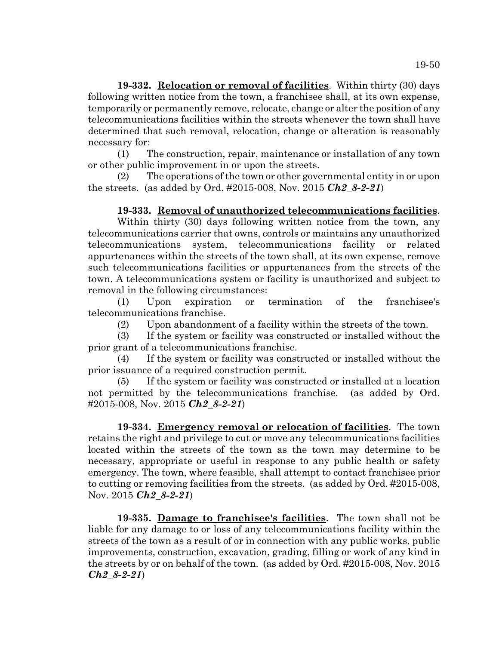**19-332. Relocation or removal of facilities**. Within thirty (30) days following written notice from the town, a franchisee shall, at its own expense, temporarily or permanently remove, relocate, change or alter the position of any telecommunications facilities within the streets whenever the town shall have determined that such removal, relocation, change or alteration is reasonably necessary for:

(1) The construction, repair, maintenance or installation of any town or other public improvement in or upon the streets.

(2) The operations of the town or other governmental entity in or upon the streets. (as added by Ord. #2015-008, Nov. 2015 *Ch2\_8-2-21*)

# **19-333. Removal of unauthorized telecommunications facilities**.

Within thirty (30) days following written notice from the town, any telecommunications carrier that owns, controls or maintains any unauthorized telecommunications system, telecommunications facility or related appurtenances within the streets of the town shall, at its own expense, remove such telecommunications facilities or appurtenances from the streets of the town. A telecommunications system or facility is unauthorized and subject to removal in the following circumstances:

(1) Upon expiration or termination of the franchisee's telecommunications franchise.

(2) Upon abandonment of a facility within the streets of the town.

(3) If the system or facility was constructed or installed without the prior grant of a telecommunications franchise.

(4) If the system or facility was constructed or installed without the prior issuance of a required construction permit.

(5) If the system or facility was constructed or installed at a location not permitted by the telecommunications franchise. (as added by Ord. #2015-008, Nov. 2015 *Ch2\_8-2-21*)

**19-334. Emergency removal or relocation of facilities**. The town retains the right and privilege to cut or move any telecommunications facilities located within the streets of the town as the town may determine to be necessary, appropriate or useful in response to any public health or safety emergency. The town, where feasible, shall attempt to contact franchisee prior to cutting or removing facilities from the streets. (as added by Ord. #2015-008, Nov. 2015 *Ch2\_8-2-21*)

**19-335. Damage to franchisee's facilities**. The town shall not be liable for any damage to or loss of any telecommunications facility within the streets of the town as a result of or in connection with any public works, public improvements, construction, excavation, grading, filling or work of any kind in the streets by or on behalf of the town. (as added by Ord. #2015-008, Nov. 2015 *Ch2\_8-2-21*)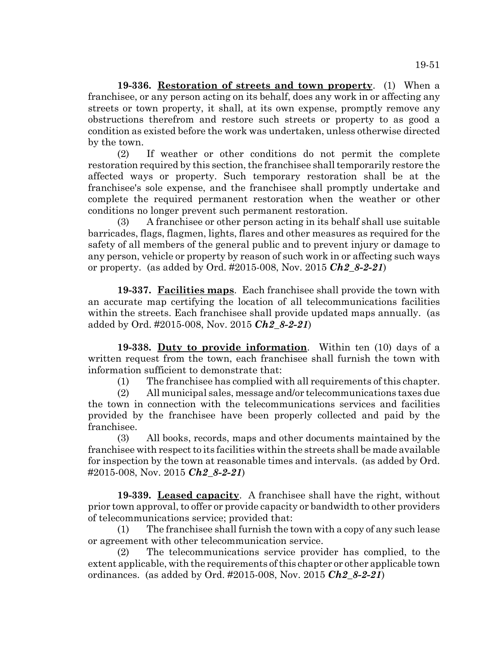19-51

**19-336. Restoration of streets and town property**. (1) When a franchisee, or any person acting on its behalf, does any work in or affecting any streets or town property, it shall, at its own expense, promptly remove any obstructions therefrom and restore such streets or property to as good a condition as existed before the work was undertaken, unless otherwise directed by the town.

(2) If weather or other conditions do not permit the complete restoration required by this section, the franchisee shall temporarily restore the affected ways or property. Such temporary restoration shall be at the franchisee's sole expense, and the franchisee shall promptly undertake and complete the required permanent restoration when the weather or other conditions no longer prevent such permanent restoration.

(3) A franchisee or other person acting in its behalf shall use suitable barricades, flags, flagmen, lights, flares and other measures as required for the safety of all members of the general public and to prevent injury or damage to any person, vehicle or property by reason of such work in or affecting such ways or property. (as added by Ord. #2015-008, Nov. 2015 *Ch2\_8-2-21*)

**19-337. Facilities maps**. Each franchisee shall provide the town with an accurate map certifying the location of all telecommunications facilities within the streets. Each franchisee shall provide updated maps annually. (as added by Ord. #2015-008, Nov. 2015 *Ch2\_8-2-21*)

**19-338. Duty to provide information**. Within ten (10) days of a written request from the town, each franchisee shall furnish the town with information sufficient to demonstrate that:

(1) The franchisee has complied with all requirements of this chapter.

(2) All municipal sales, message and/or telecommunications taxes due the town in connection with the telecommunications services and facilities provided by the franchisee have been properly collected and paid by the franchisee.

(3) All books, records, maps and other documents maintained by the franchisee with respect to its facilities within the streets shall be made available for inspection by the town at reasonable times and intervals. (as added by Ord. #2015-008, Nov. 2015 *Ch2\_8-2-21*)

**19-339. Leased capacity**. A franchisee shall have the right, without prior town approval, to offer or provide capacity or bandwidth to other providers of telecommunications service; provided that:

(1) The franchisee shall furnish the town with a copy of any such lease or agreement with other telecommunication service.

(2) The telecommunications service provider has complied, to the extent applicable, with the requirements of this chapter or other applicable town ordinances. (as added by Ord. #2015-008, Nov. 2015 *Ch2\_8-2-21*)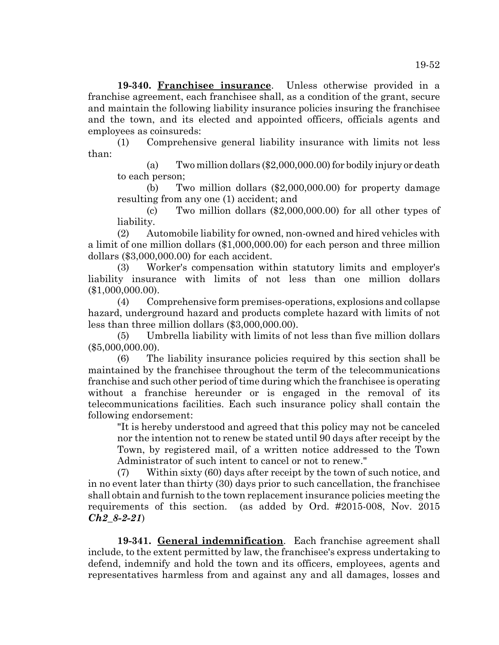**19-340. Franchisee insurance**. Unless otherwise provided in a franchise agreement, each franchisee shall, as a condition of the grant, secure and maintain the following liability insurance policies insuring the franchisee and the town, and its elected and appointed officers, officials agents and employees as coinsureds:

(1) Comprehensive general liability insurance with limits not less than:

(a) Two million dollars (\$2,000,000.00) for bodily injury or death to each person;

(b) Two million dollars (\$2,000,000.00) for property damage resulting from any one (1) accident; and

(c) Two million dollars (\$2,000,000.00) for all other types of liability.

(2) Automobile liability for owned, non-owned and hired vehicles with a limit of one million dollars (\$1,000,000.00) for each person and three million dollars (\$3,000,000.00) for each accident.

(3) Worker's compensation within statutory limits and employer's liability insurance with limits of not less than one million dollars (\$1,000,000.00).

(4) Comprehensive form premises-operations, explosions and collapse hazard, underground hazard and products complete hazard with limits of not less than three million dollars (\$3,000,000.00).

(5) Umbrella liability with limits of not less than five million dollars (\$5,000,000.00).

(6) The liability insurance policies required by this section shall be maintained by the franchisee throughout the term of the telecommunications franchise and such other period of time during which the franchisee is operating without a franchise hereunder or is engaged in the removal of its telecommunications facilities. Each such insurance policy shall contain the following endorsement:

"It is hereby understood and agreed that this policy may not be canceled nor the intention not to renew be stated until 90 days after receipt by the Town, by registered mail, of a written notice addressed to the Town Administrator of such intent to cancel or not to renew."

(7) Within sixty (60) days after receipt by the town of such notice, and in no event later than thirty (30) days prior to such cancellation, the franchisee shall obtain and furnish to the town replacement insurance policies meeting the requirements of this section. (as added by Ord. #2015-008, Nov. 2015 *Ch2\_8-2-21*)

**19-341. General indemnification**. Each franchise agreement shall include, to the extent permitted by law, the franchisee's express undertaking to defend, indemnify and hold the town and its officers, employees, agents and representatives harmless from and against any and all damages, losses and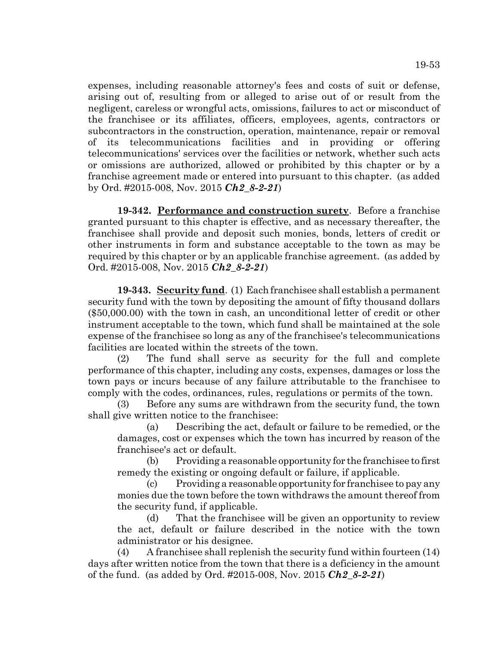expenses, including reasonable attorney's fees and costs of suit or defense, arising out of, resulting from or alleged to arise out of or result from the negligent, careless or wrongful acts, omissions, failures to act or misconduct of the franchisee or its affiliates, officers, employees, agents, contractors or subcontractors in the construction, operation, maintenance, repair or removal of its telecommunications facilities and in providing or offering telecommunications' services over the facilities or network, whether such acts or omissions are authorized, allowed or prohibited by this chapter or by a franchise agreement made or entered into pursuant to this chapter. (as added by Ord. #2015-008, Nov. 2015 *Ch2\_8-2-21*)

**19-342. Performance and construction surety**. Before a franchise granted pursuant to this chapter is effective, and as necessary thereafter, the franchisee shall provide and deposit such monies, bonds, letters of credit or other instruments in form and substance acceptable to the town as may be required by this chapter or by an applicable franchise agreement. (as added by Ord. #2015-008, Nov. 2015 *Ch2\_8-2-21*)

**19-343. Security fund**. (1) Each franchisee shall establish a permanent security fund with the town by depositing the amount of fifty thousand dollars (\$50,000.00) with the town in cash, an unconditional letter of credit or other instrument acceptable to the town, which fund shall be maintained at the sole expense of the franchisee so long as any of the franchisee's telecommunications facilities are located within the streets of the town.

(2) The fund shall serve as security for the full and complete performance of this chapter, including any costs, expenses, damages or loss the town pays or incurs because of any failure attributable to the franchisee to comply with the codes, ordinances, rules, regulations or permits of the town.

(3) Before any sums are withdrawn from the security fund, the town shall give written notice to the franchisee:

(a) Describing the act, default or failure to be remedied, or the damages, cost or expenses which the town has incurred by reason of the franchisee's act or default.

(b) Providing a reasonable opportunity for the franchisee to first remedy the existing or ongoing default or failure, if applicable.

(c) Providing a reasonable opportunity for franchisee to pay any monies due the town before the town withdraws the amount thereof from the security fund, if applicable.

(d) That the franchisee will be given an opportunity to review the act, default or failure described in the notice with the town administrator or his designee.

(4) A franchisee shall replenish the security fund within fourteen (14) days after written notice from the town that there is a deficiency in the amount of the fund. (as added by Ord. #2015-008, Nov. 2015 *Ch2\_8-2-21*)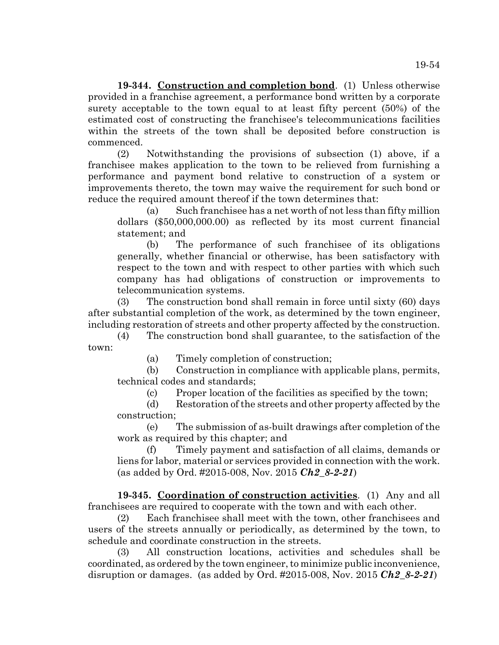**19-344. Construction and completion bond**. (1) Unless otherwise provided in a franchise agreement, a performance bond written by a corporate surety acceptable to the town equal to at least fifty percent (50%) of the estimated cost of constructing the franchisee's telecommunications facilities within the streets of the town shall be deposited before construction is commenced.

(2) Notwithstanding the provisions of subsection (1) above, if a franchisee makes application to the town to be relieved from furnishing a performance and payment bond relative to construction of a system or improvements thereto, the town may waive the requirement for such bond or reduce the required amount thereof if the town determines that:

(a) Such franchisee has a net worth of not less than fifty million dollars (\$50,000,000.00) as reflected by its most current financial statement; and

(b) The performance of such franchisee of its obligations generally, whether financial or otherwise, has been satisfactory with respect to the town and with respect to other parties with which such company has had obligations of construction or improvements to telecommunication systems.

(3) The construction bond shall remain in force until sixty (60) days after substantial completion of the work, as determined by the town engineer, including restoration of streets and other property affected by the construction.

(4) The construction bond shall guarantee, to the satisfaction of the town:

(a) Timely completion of construction;

(b) Construction in compliance with applicable plans, permits, technical codes and standards;

(c) Proper location of the facilities as specified by the town;

(d) Restoration of the streets and other property affected by the construction;

(e) The submission of as-built drawings after completion of the work as required by this chapter; and

(f) Timely payment and satisfaction of all claims, demands or liens for labor, material or services provided in connection with the work. (as added by Ord. #2015-008, Nov. 2015 *Ch2\_8-2-21*)

**19-345. Coordination of construction activities**. (1) Any and all franchisees are required to cooperate with the town and with each other.

(2) Each franchisee shall meet with the town, other franchisees and users of the streets annually or periodically, as determined by the town, to schedule and coordinate construction in the streets.

(3) All construction locations, activities and schedules shall be coordinated, as ordered by the town engineer, to minimize public inconvenience, disruption or damages. (as added by Ord. #2015-008, Nov. 2015 *Ch2\_8-2-21*)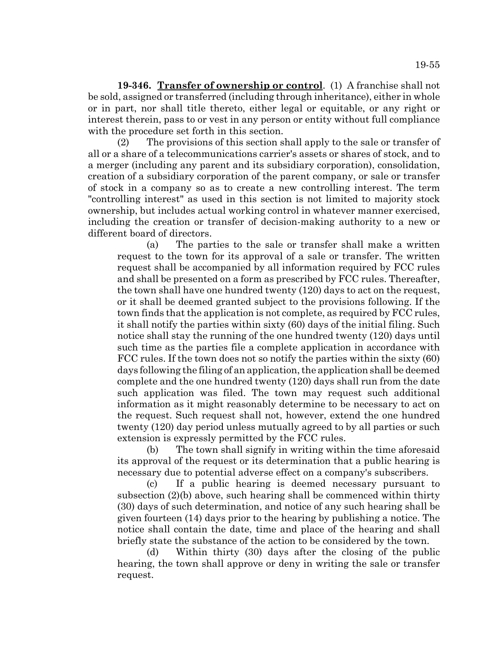**19-346. Transfer of ownership or control**. (1) A franchise shall not be sold, assigned or transferred (including through inheritance), either in whole or in part, nor shall title thereto, either legal or equitable, or any right or interest therein, pass to or vest in any person or entity without full compliance with the procedure set forth in this section.

(2) The provisions of this section shall apply to the sale or transfer of all or a share of a telecommunications carrier's assets or shares of stock, and to a merger (including any parent and its subsidiary corporation), consolidation, creation of a subsidiary corporation of the parent company, or sale or transfer of stock in a company so as to create a new controlling interest. The term "controlling interest" as used in this section is not limited to majority stock ownership, but includes actual working control in whatever manner exercised, including the creation or transfer of decision-making authority to a new or different board of directors.

(a) The parties to the sale or transfer shall make a written request to the town for its approval of a sale or transfer. The written request shall be accompanied by all information required by FCC rules and shall be presented on a form as prescribed by FCC rules. Thereafter, the town shall have one hundred twenty (120) days to act on the request, or it shall be deemed granted subject to the provisions following. If the town finds that the application is not complete, as required by FCC rules, it shall notify the parties within sixty (60) days of the initial filing. Such notice shall stay the running of the one hundred twenty (120) days until such time as the parties file a complete application in accordance with FCC rules. If the town does not so notify the parties within the sixty (60) days following the filing of an application, the application shall be deemed complete and the one hundred twenty (120) days shall run from the date such application was filed. The town may request such additional information as it might reasonably determine to be necessary to act on the request. Such request shall not, however, extend the one hundred twenty (120) day period unless mutually agreed to by all parties or such extension is expressly permitted by the FCC rules.

(b) The town shall signify in writing within the time aforesaid its approval of the request or its determination that a public hearing is necessary due to potential adverse effect on a company's subscribers.

(c) If a public hearing is deemed necessary pursuant to subsection (2)(b) above, such hearing shall be commenced within thirty (30) days of such determination, and notice of any such hearing shall be given fourteen (14) days prior to the hearing by publishing a notice. The notice shall contain the date, time and place of the hearing and shall briefly state the substance of the action to be considered by the town.

(d) Within thirty (30) days after the closing of the public hearing, the town shall approve or deny in writing the sale or transfer request.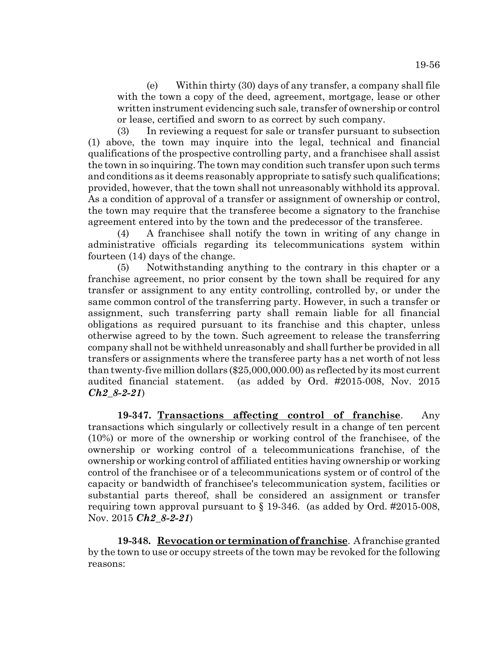(e) Within thirty (30) days of any transfer, a company shall file with the town a copy of the deed, agreement, mortgage, lease or other written instrument evidencing such sale, transfer of ownership or control or lease, certified and sworn to as correct by such company.

(3) In reviewing a request for sale or transfer pursuant to subsection (1) above, the town may inquire into the legal, technical and financial qualifications of the prospective controlling party, and a franchisee shall assist the town in so inquiring. The town may condition such transfer upon such terms and conditions as it deems reasonably appropriate to satisfy such qualifications; provided, however, that the town shall not unreasonably withhold its approval. As a condition of approval of a transfer or assignment of ownership or control, the town may require that the transferee become a signatory to the franchise agreement entered into by the town and the predecessor of the transferee.

(4) A franchisee shall notify the town in writing of any change in administrative officials regarding its telecommunications system within fourteen (14) days of the change.

(5) Notwithstanding anything to the contrary in this chapter or a franchise agreement, no prior consent by the town shall be required for any transfer or assignment to any entity controlling, controlled by, or under the same common control of the transferring party. However, in such a transfer or assignment, such transferring party shall remain liable for all financial obligations as required pursuant to its franchise and this chapter, unless otherwise agreed to by the town. Such agreement to release the transferring company shall not be withheld unreasonably and shall further be provided in all transfers or assignments where the transferee party has a net worth of not less than twenty-five million dollars (\$25,000,000.00) as reflected by its most current audited financial statement. (as added by Ord. #2015-008, Nov. 2015 *Ch2\_8-2-21*)

**19-347. Transactions affecting control of franchise**. Any transactions which singularly or collectively result in a change of ten percent (10%) or more of the ownership or working control of the franchisee, of the ownership or working control of a telecommunications franchise, of the ownership or working control of affiliated entities having ownership or working control of the franchisee or of a telecommunications system or of control of the capacity or bandwidth of franchisee's telecommunication system, facilities or substantial parts thereof, shall be considered an assignment or transfer requiring town approval pursuant to  $\S$  19-346. (as added by Ord. #2015-008, Nov. 2015 *Ch2\_8-2-21*)

**19-348. Revocation or termination of franchise**. A franchise granted by the town to use or occupy streets of the town may be revoked for the following reasons: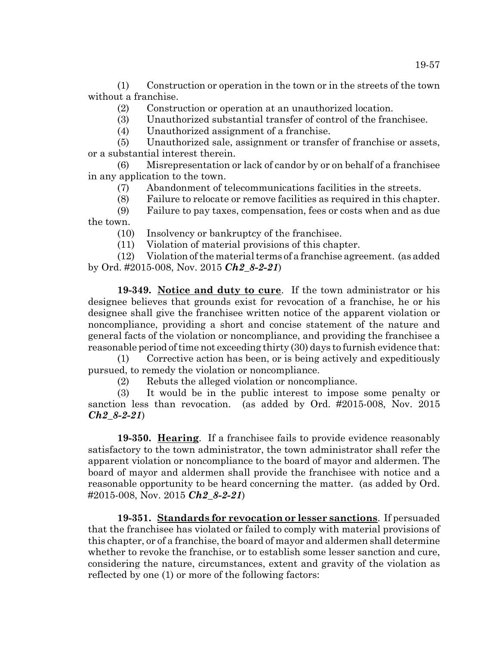(1) Construction or operation in the town or in the streets of the town without a franchise.

- (2) Construction or operation at an unauthorized location.
- (3) Unauthorized substantial transfer of control of the franchisee.
- (4) Unauthorized assignment of a franchise.

(5) Unauthorized sale, assignment or transfer of franchise or assets, or a substantial interest therein.

(6) Misrepresentation or lack of candor by or on behalf of a franchisee in any application to the town.

- (7) Abandonment of telecommunications facilities in the streets.
- (8) Failure to relocate or remove facilities as required in this chapter.
- (9) Failure to pay taxes, compensation, fees or costs when and as due the town.
	- (10) Insolvency or bankruptcy of the franchisee.
	- (11) Violation of material provisions of this chapter.

(12) Violation of the material terms of a franchise agreement. (as added by Ord. #2015-008, Nov. 2015 *Ch2\_8-2-21*)

**19-349. Notice and duty to cure**. If the town administrator or his designee believes that grounds exist for revocation of a franchise, he or his designee shall give the franchisee written notice of the apparent violation or noncompliance, providing a short and concise statement of the nature and general facts of the violation or noncompliance, and providing the franchisee a reasonable period of time not exceeding thirty (30) days to furnish evidence that:

(1) Corrective action has been, or is being actively and expeditiously pursued, to remedy the violation or noncompliance.

(2) Rebuts the alleged violation or noncompliance.

(3) It would be in the public interest to impose some penalty or sanction less than revocation. (as added by Ord. #2015-008, Nov. 2015 *Ch2\_8-2-21*)

**19-350. Hearing**. If a franchisee fails to provide evidence reasonably satisfactory to the town administrator, the town administrator shall refer the apparent violation or noncompliance to the board of mayor and aldermen. The board of mayor and aldermen shall provide the franchisee with notice and a reasonable opportunity to be heard concerning the matter. (as added by Ord. #2015-008, Nov. 2015 *Ch2\_8-2-21*)

**19-351. Standards for revocation or lesser sanctions**. If persuaded that the franchisee has violated or failed to comply with material provisions of this chapter, or of a franchise, the board of mayor and aldermen shall determine whether to revoke the franchise, or to establish some lesser sanction and cure, considering the nature, circumstances, extent and gravity of the violation as reflected by one (1) or more of the following factors: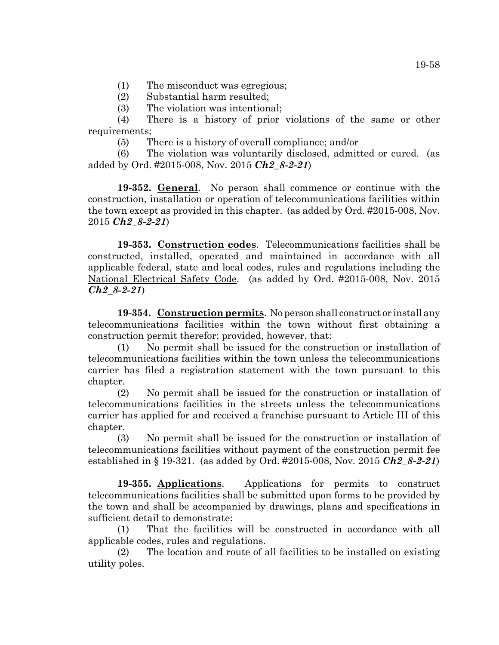(1) The misconduct was egregious;

(2) Substantial harm resulted;

(3) The violation was intentional;

(4) There is a history of prior violations of the same or other requirements;

(5) There is a history of overall compliance; and/or

(6) The violation was voluntarily disclosed, admitted or cured. (as added by Ord. #2015-008, Nov. 2015 *Ch2\_8-2-21*)

**19-352. General**. No person shall commence or continue with the construction, installation or operation of telecommunications facilities within the town except as provided in this chapter. (as added by Ord. #2015-008, Nov. 2015 *Ch2\_8-2-21*)

**19-353. Construction codes**. Telecommunications facilities shall be constructed, installed, operated and maintained in accordance with all applicable federal, state and local codes, rules and regulations including the National Electrical Safety Code. (as added by Ord. #2015-008, Nov. 2015 *Ch2\_8-2-21*)

**19-354. Construction permits**. No person shall construct or install any telecommunications facilities within the town without first obtaining a construction permit therefor; provided, however, that:

(1) No permit shall be issued for the construction or installation of telecommunications facilities within the town unless the telecommunications carrier has filed a registration statement with the town pursuant to this chapter.

(2) No permit shall be issued for the construction or installation of telecommunications facilities in the streets unless the telecommunications carrier has applied for and received a franchise pursuant to Article III of this chapter.

(3) No permit shall be issued for the construction or installation of telecommunications facilities without payment of the construction permit fee established in § 19-321. (as added by Ord. #2015-008, Nov. 2015 *Ch2\_8-2-21*)

**19-355. Applications**. Applications for permits to construct telecommunications facilities shall be submitted upon forms to be provided by the town and shall be accompanied by drawings, plans and specifications in sufficient detail to demonstrate:

(1) That the facilities will be constructed in accordance with all applicable codes, rules and regulations.

(2) The location and route of all facilities to be installed on existing utility poles.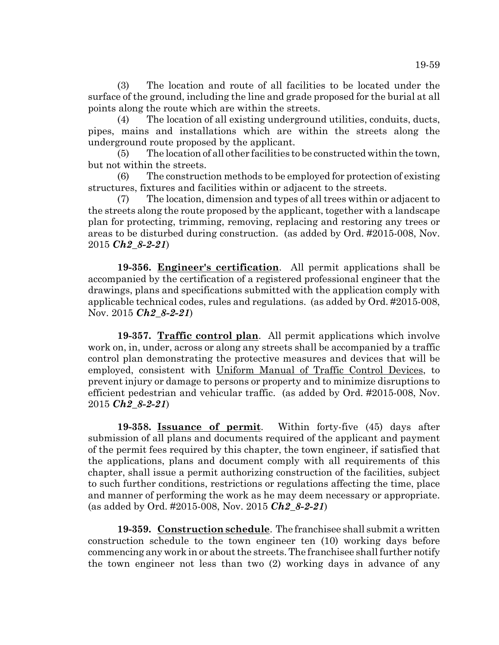(3) The location and route of all facilities to be located under the surface of the ground, including the line and grade proposed for the burial at all points along the route which are within the streets.

(4) The location of all existing underground utilities, conduits, ducts, pipes, mains and installations which are within the streets along the underground route proposed by the applicant.

(5) The location of all other facilities to be constructed within the town, but not within the streets.

(6) The construction methods to be employed for protection of existing structures, fixtures and facilities within or adjacent to the streets.

The location, dimension and types of all trees within or adjacent to the streets along the route proposed by the applicant, together with a landscape plan for protecting, trimming, removing, replacing and restoring any trees or areas to be disturbed during construction. (as added by Ord. #2015-008, Nov. 2015 *Ch2\_8-2-21*)

**19-356. Engineer's certification**. All permit applications shall be accompanied by the certification of a registered professional engineer that the drawings, plans and specifications submitted with the application comply with applicable technical codes, rules and regulations. (as added by Ord. #2015-008, Nov. 2015 *Ch2\_8-2-21*)

**19-357. Traffic control plan**. All permit applications which involve work on, in, under, across or along any streets shall be accompanied by a traffic control plan demonstrating the protective measures and devices that will be employed, consistent with Uniform Manual of Traffic Control Devices, to prevent injury or damage to persons or property and to minimize disruptions to efficient pedestrian and vehicular traffic. (as added by Ord. #2015-008, Nov. 2015 *Ch2\_8-2-21*)

**19-358. Issuance of permit**. Within forty-five (45) days after submission of all plans and documents required of the applicant and payment of the permit fees required by this chapter, the town engineer, if satisfied that the applications, plans and document comply with all requirements of this chapter, shall issue a permit authorizing construction of the facilities, subject to such further conditions, restrictions or regulations affecting the time, place and manner of performing the work as he may deem necessary or appropriate. (as added by Ord. #2015-008, Nov. 2015 *Ch2\_8-2-21*)

**19-359. Construction schedule**. The franchisee shall submit a written construction schedule to the town engineer ten (10) working days before commencing any work in or about the streets. The franchisee shall further notify the town engineer not less than two (2) working days in advance of any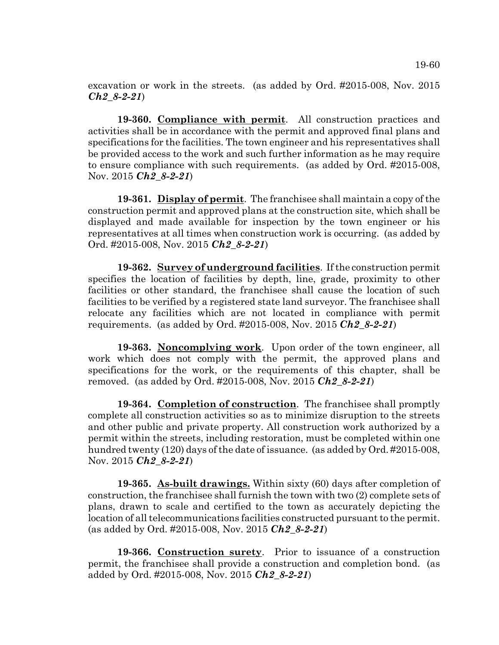excavation or work in the streets. (as added by Ord. #2015-008, Nov. 2015 *Ch2\_8-2-21*)

**19-360. Compliance with permit**. All construction practices and activities shall be in accordance with the permit and approved final plans and specifications for the facilities. The town engineer and his representatives shall be provided access to the work and such further information as he may require to ensure compliance with such requirements. (as added by Ord. #2015-008, Nov. 2015 *Ch2\_8-2-21*)

**19-361. Display of permit**. The franchisee shall maintain a copy of the construction permit and approved plans at the construction site, which shall be displayed and made available for inspection by the town engineer or his representatives at all times when construction work is occurring. (as added by Ord. #2015-008, Nov. 2015 *Ch2\_8-2-21*)

**19-362. Survey of underground facilities**. If the construction permit specifies the location of facilities by depth, line, grade, proximity to other facilities or other standard, the franchisee shall cause the location of such facilities to be verified by a registered state land surveyor. The franchisee shall relocate any facilities which are not located in compliance with permit requirements. (as added by Ord. #2015-008, Nov. 2015 *Ch2\_8-2-21*)

**19-363. Noncomplying work**. Upon order of the town engineer, all work which does not comply with the permit, the approved plans and specifications for the work, or the requirements of this chapter, shall be removed. (as added by Ord. #2015-008, Nov. 2015 *Ch2\_8-2-21*)

**19-364. Completion of construction**. The franchisee shall promptly complete all construction activities so as to minimize disruption to the streets and other public and private property. All construction work authorized by a permit within the streets, including restoration, must be completed within one hundred twenty (120) days of the date of issuance. (as added by Ord. #2015-008, Nov. 2015 *Ch2\_8-2-21*)

**19-365. As-built drawings.** Within sixty (60) days after completion of construction, the franchisee shall furnish the town with two (2) complete sets of plans, drawn to scale and certified to the town as accurately depicting the location of all telecommunications facilities constructed pursuant to the permit. (as added by Ord. #2015-008, Nov. 2015 *Ch2\_8-2-21*)

**19-366. Construction surety**. Prior to issuance of a construction permit, the franchisee shall provide a construction and completion bond. (as added by Ord. #2015-008, Nov. 2015 *Ch2\_8-2-21*)